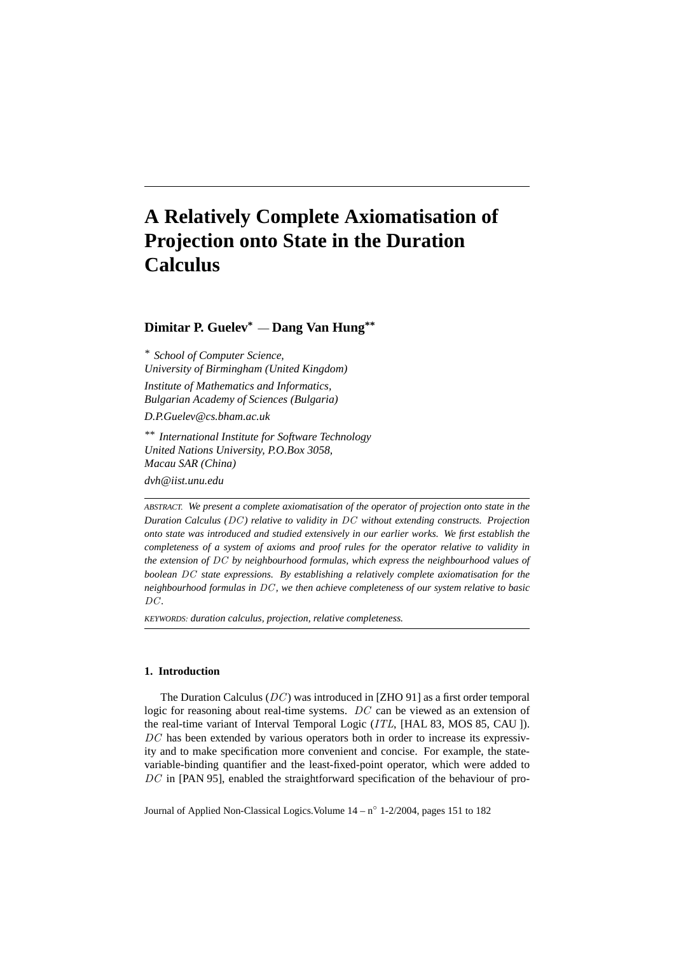# **A Relatively Complete Axiomatisation of Projection onto State in the Duration Calculus**

**Dimitar P. Guelev\*** — **Dang Van Hung\*\***

*\* School of Computer Science, University of Birmingham (United Kingdom) Institute of Mathematics and Informatics, Bulgarian Academy of Sciences (Bulgaria)*

*D.P.Guelev@cs.bham.ac.uk*

*\*\* International Institute for Software Technology United Nations University, P.O.Box 3058, Macau SAR (China)*

*dvh@iist.unu.edu*

*ABSTRACT. We present a complete axiomatisation of the operator of projection onto state in the Duration Calculus (*DC*) relative to validity in* DC *without extending constructs. Projection onto state was introduced and studied extensively in our earlier works. We first establish the completeness of a system of axioms and proof rules for the operator relative to validity in the extension of* DC *by neighbourhood formulas, which express the neighbourhood values of boolean* DC *state expressions. By establishing a relatively complete axiomatisation for the neighbourhood formulas in* DC*, we then achieve completeness of our system relative to basic*  $DC$ .

*KEYWORDS: duration calculus, projection, relative completeness.*

## **1. Introduction**

The Duration Calculus  $(DC)$  was introduced in [ZHO 91] as a first order temporal logic for reasoning about real-time systems. DC can be viewed as an extension of the real-time variant of Interval Temporal Logic (ITL, [HAL 83, MOS 85, CAU ]). DC has been extended by various operators both in order to increase its expressivity and to make specification more convenient and concise. For example, the statevariable-binding quantifier and the least-fixed-point operator, which were added to  $DC$  in [PAN 95], enabled the straightforward specification of the behaviour of pro-

Journal of Applied Non-Classical Logics. Volume  $14 - n^{\circ}$  1-2/2004, pages 151 to 182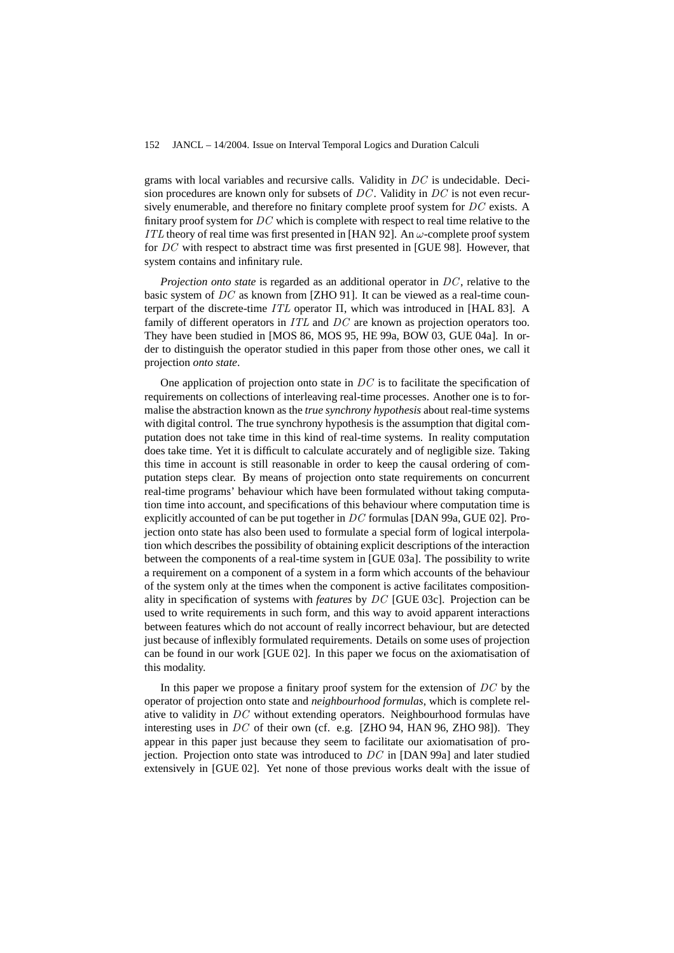grams with local variables and recursive calls. Validity in  $DC$  is undecidable. Decision procedures are known only for subsets of DC . Validity in DC is not even recursively enumerable, and therefore no finitary complete proof system for DC exists. A finitary proof system for DC which is complete with respect to real time relative to the ITL theory of real time was first presented in [HAN 92]. An  $\omega$ -complete proof system for DC with respect to abstract time was first presented in [GUE 98]. However, that system contains and infinitary rule.

*Projection onto state* is regarded as an additional operator in DC , relative to the basic system of  $DC$  as known from [ZHO 91]. It can be viewed as a real-time counterpart of the discrete-time ITL operator Π, which was introduced in [HAL 83]. A family of different operators in ITL and DC are known as projection operators too. They have been studied in [MOS 86, MOS 95, HE 99a, BOW 03, GUE 04a]. In order to distinguish the operator studied in this paper from those other ones, we call it projection *onto state*.

One application of projection onto state in  $DC$  is to facilitate the specification of requirements on collections of interleaving real-time processes. Another one is to formalise the abstraction known as the *true synchrony hypothesis* about real-time systems with digital control. The true synchrony hypothesis is the assumption that digital computation does not take time in this kind of real-time systems. In reality computation does take time. Yet it is difficult to calculate accurately and of negligible size. Taking this time in account is still reasonable in order to keep the causal ordering of computation steps clear. By means of projection onto state requirements on concurrent real-time programs' behaviour which have been formulated without taking computation time into account, and specifications of this behaviour where computation time is explicitly accounted of can be put together in  $DC$  formulas [DAN 99a, GUE 02]. Projection onto state has also been used to formulate a special form of logical interpolation which describes the possibility of obtaining explicit descriptions of the interaction between the components of a real-time system in [GUE 03a]. The possibility to write a requirement on a component of a system in a form which accounts of the behaviour of the system only at the times when the component is active facilitates compositionality in specification of systems with *features* by DC [GUE 03c]. Projection can be used to write requirements in such form, and this way to avoid apparent interactions between features which do not account of really incorrect behaviour, but are detected just because of inflexibly formulated requirements. Details on some uses of projection can be found in our work [GUE 02]. In this paper we focus on the axiomatisation of this modality.

In this paper we propose a finitary proof system for the extension of  $DC$  by the operator of projection onto state and *neighbourhood formulas*, which is complete relative to validity in DC without extending operators. Neighbourhood formulas have interesting uses in  $DC$  of their own (cf. e.g. [ZHO 94, HAN 96, ZHO 98]). They appear in this paper just because they seem to facilitate our axiomatisation of projection. Projection onto state was introduced to  $DC$  in [DAN 99a] and later studied extensively in [GUE 02]. Yet none of those previous works dealt with the issue of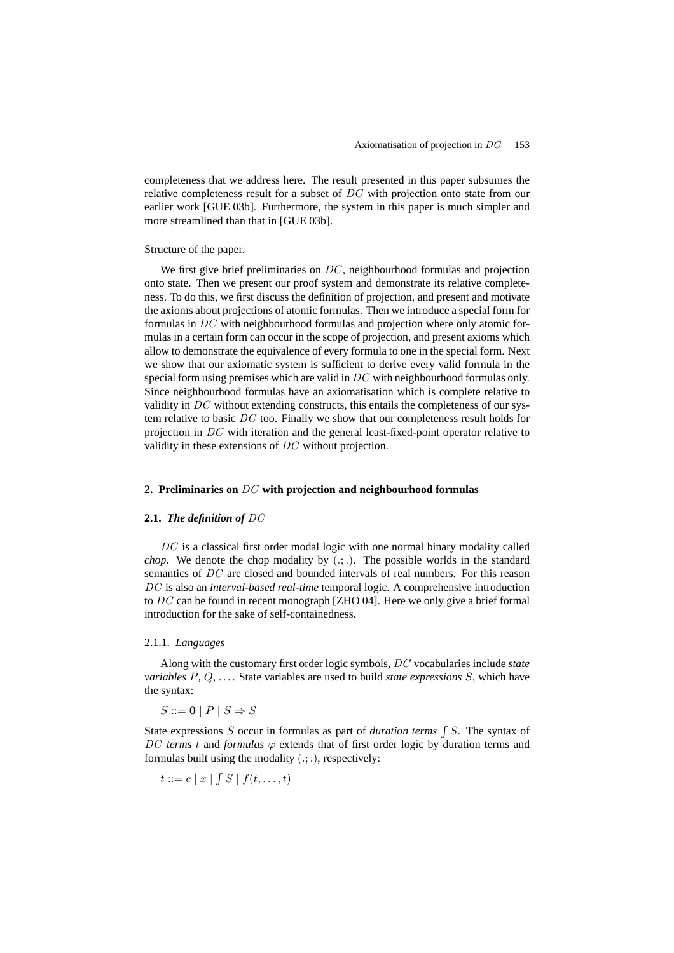completeness that we address here. The result presented in this paper subsumes the relative completeness result for a subset of DC with projection onto state from our earlier work [GUE 03b]. Furthermore, the system in this paper is much simpler and more streamlined than that in [GUE 03b].

Structure of the paper.

We first give brief preliminaries on  $DC$ , neighbourhood formulas and projection onto state. Then we present our proof system and demonstrate its relative completeness. To do this, we first discuss the definition of projection, and present and motivate the axioms about projections of atomic formulas. Then we introduce a special form for formulas in DC with neighbourhood formulas and projection where only atomic formulas in a certain form can occur in the scope of projection, and present axioms which allow to demonstrate the equivalence of every formula to one in the special form. Next we show that our axiomatic system is sufficient to derive every valid formula in the special form using premises which are valid in DC with neighbourhood formulas only. Since neighbourhood formulas have an axiomatisation which is complete relative to validity in  $DC$  without extending constructs, this entails the completeness of our system relative to basic DC too. Finally we show that our completeness result holds for projection in DC with iteration and the general least-fixed-point operator relative to validity in these extensions of DC without projection.

## **2. Preliminaries on** DC **with projection and neighbourhood formulas**

## **2.1.** *The definition of* DC

 $DC$  is a classical first order modal logic with one normal binary modality called *chop.* We denote the chop modality by  $(.; .)$ . The possible worlds in the standard semantics of DC are closed and bounded intervals of real numbers. For this reason DC is also an *interval-based real-time* temporal logic. A comprehensive introduction to DC can be found in recent monograph [ZHO 04]. Here we only give a brief formal introduction for the sake of self-containedness.

## 2.1.1. *Languages*

Along with the customary first order logic symbols, DC vocabularies include *state variables* P, Q, ..., State variables are used to build *state expressions* S, which have the syntax:

 $S ::= \mathbf{0} | P | S \Rightarrow S$ 

State expressions  $S$  occur in formulas as part of *duration terms*  $\int S$ . The syntax of DC terms t and *formulas*  $\varphi$  extends that of first order logic by duration terms and formulas built using the modality  $(.; .)$ , respectively:

$$
t ::= c \mid x \mid \int S \mid f(t, \ldots, t)
$$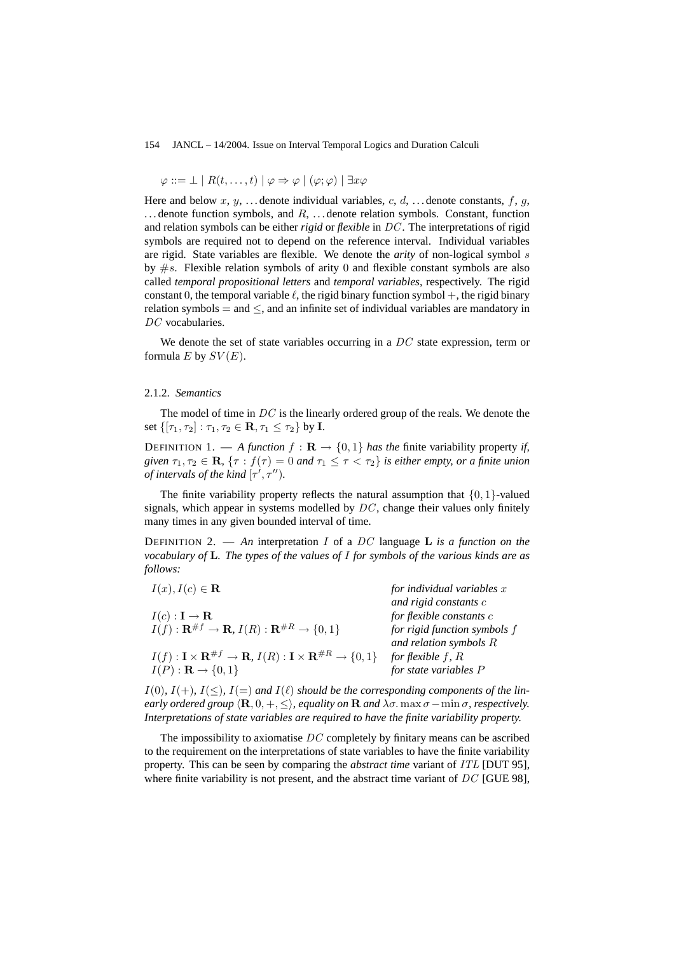$\varphi ::= \bot \mid R(t, \ldots, t) \mid \varphi \Rightarrow \varphi \mid (\varphi; \varphi) \mid \exists x \varphi$ 

Here and below  $x, y, \ldots$  denote individual variables,  $c, d, \ldots$  denote constants,  $f, g$ , ... denote function symbols, and  $R$ , ... denote relation symbols. Constant, function and relation symbols can be either *rigid* or *flexible* in DC . The interpretations of rigid symbols are required not to depend on the reference interval. Individual variables are rigid. State variables are flexible. We denote the *arity* of non-logical symbol s by  $\#s$ . Flexible relation symbols of arity 0 and flexible constant symbols are also called *temporal propositional letters* and *temporal variables*, respectively. The rigid constant 0, the temporal variable  $\ell$ , the rigid binary function symbol  $+$ , the rigid binary relation symbols  $=$  and  $\leq$ , and an infinite set of individual variables are mandatory in DC vocabularies.

We denote the set of state variables occurring in a  $DC$  state expression, term or formula E by  $SV(E)$ .

# 2.1.2. *Semantics*

The model of time in  $DC$  is the linearly ordered group of the reals. We denote the set  $\{[\tau_1, \tau_2] : \tau_1, \tau_2 \in \mathbf{R}, \tau_1 \leq \tau_2\}$  by I.

DEFINITION 1. — *A function*  $f : \mathbf{R} \to \{0, 1\}$  *has the finite variability property if, given*  $\tau_1, \tau_2 \in \mathbf{R}, \{\tau : f(\tau) = 0 \text{ and } \tau_1 \leq \tau < \tau_2\}$  *is either empty, or a finite union of intervals of the kind*  $[\tau', \tau'']$ *.* 

The finite variability property reflects the natural assumption that  $\{0, 1\}$ -valued signals, which appear in systems modelled by  $DC$ , change their values only finitely many times in any given bounded interval of time.

DEFINITION 2. — *An* interpretation I of a DC language L *is a function on the vocabulary of* L*. The types of the values of* I *for symbols of the various kinds are as follows:*

| $I(x), I(c) \in \mathbf{R}$                                                                                     | for individual variables $x$ |
|-----------------------------------------------------------------------------------------------------------------|------------------------------|
|                                                                                                                 | and rigid constants $c$      |
| $I(c):{\bf I}\to{\bf R}$                                                                                        | for flexible constants c     |
| $I(f): \mathbf{R}^{\#f} \to \mathbf{R}, I(R): \mathbf{R}^{\#R} \to \{0,1\}$                                     | for rigid function symbols f |
|                                                                                                                 | and relation symbols $R$     |
| $I(f): \mathbf{I} \times \mathbf{R}^{\#f} \to \mathbf{R}, I(R): \mathbf{I} \times \mathbf{R}^{\#R} \to \{0,1\}$ | for flexible $f, R$          |
| $I(P):{\bf R}\to\{0,1\}$                                                                                        | for state variables $P$      |

 $I(0), I(+), I(\leq), I(\equiv)$  and  $I(\ell)$  should be the corresponding components of the lin*early ordered group*  $\langle \mathbf{R}, 0, +, \leq \rangle$ *, equality on*  $\mathbf{R}$  *and*  $\lambda \sigma$ *.* max  $\sigma$  − min  $\sigma$ *, respectively. Interpretations of state variables are required to have the finite variability property.*

The impossibility to axiomatise  $DC$  completely by finitary means can be ascribed to the requirement on the interpretations of state variables to have the finite variability property. This can be seen by comparing the *abstract time* variant of ITL [DUT 95], where finite variability is not present, and the abstract time variant of DC [GUE 98],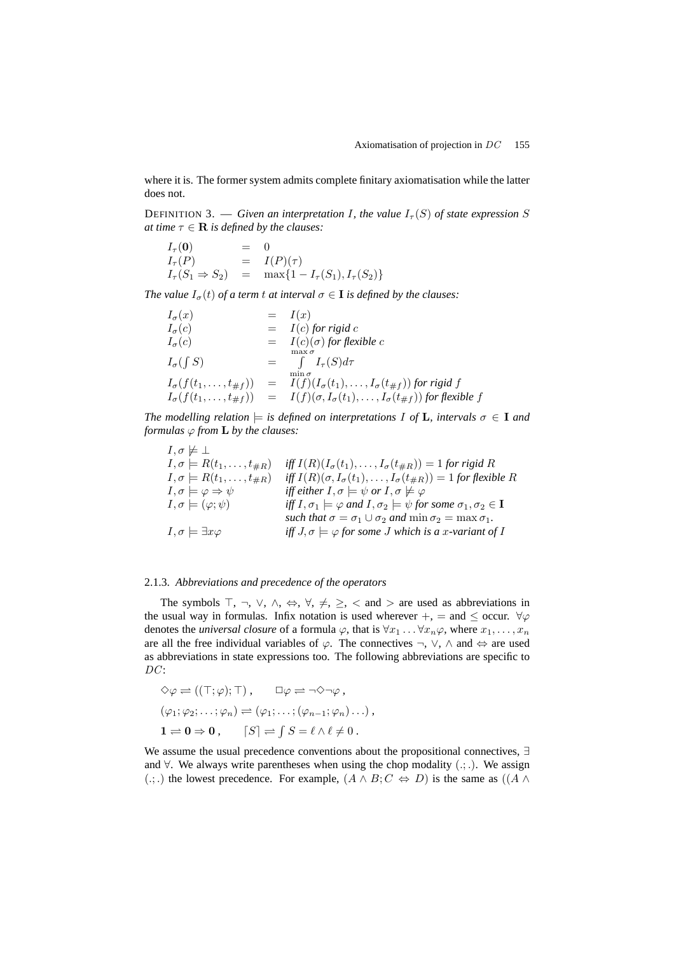where it is. The former system admits complete finitary axiomatisation while the latter does not.

**DEFINITION 3.** — *Given an interpretation I, the value*  $I_\tau(S)$  *of state expression* S *at time*  $\tau \in \mathbf{R}$  *is defined by the clauses:* 

$$
I_{\tau}(\mathbf{0}) = 0\nI_{\tau}(P) = I(P)(\tau)\nI_{\tau}(S_1 \Rightarrow S_2) = \max\{1 - I_{\tau}(S_1), I_{\tau}(S_2)\}\
$$

*The value*  $I_{\sigma}(t)$  *of a term t at interval*  $\sigma \in I$  *is defined by the clauses:* 

$$
I_{\sigma}(x) = I(x)
$$
  
\n
$$
I_{\sigma}(c) = I(c) \text{ for rigid } c
$$
  
\n
$$
I_{\sigma}(c) = I(c)(\sigma) \text{ for flexible } c
$$
  
\n
$$
I_{\sigma}(f(S)) = \int_{\min \sigma} I_{\tau}(S) d\tau
$$
  
\n
$$
I_{\sigma}(f(t_1,...,t_{\# f})) = I(f)(I_{\sigma}(t_1),...,I_{\sigma}(t_{\# f})) \text{ for rigid } f
$$
  
\n
$$
I_{\sigma}(f(t_1,...,t_{\# f})) = I(f)(\sigma, I_{\sigma}(t_1),...,I_{\sigma}(t_{\# f})) \text{ for flexible } f
$$

*The modelling relation*  $\models$  *is defined on interpretations I of* **L**, *intervals*  $\sigma \in$  **I** *and formulas*  $\varphi$  *from* **L** *by the clauses:* 

$$
I, \sigma \not\models \bot
$$
  
\n
$$
I, \sigma \models R(t_1, \ldots, t_{\#R})
$$
 iff  $I(R)(I_{\sigma}(t_1), \ldots, I_{\sigma}(t_{\#R})) = 1$  for rigid R  
\n
$$
I, \sigma \models R(t_1, \ldots, t_{\#R})
$$
 iff  $I(R)(\sigma, I_{\sigma}(t_1), \ldots, I_{\sigma}(t_{\#R})) = 1$  for flexible R  
\n
$$
I, \sigma \models \varphi \Rightarrow \psi
$$
 iff either  $I, \sigma \models \psi$  or  $I, \sigma \not\models \varphi$   
\n
$$
I, \sigma \models (\varphi; \psi)
$$
 iff  $I, \sigma_1 \models \varphi$  and  $I, \sigma_2 \models \psi$  for some  $\sigma_1, \sigma_2 \in \mathbf{I}$   
\nsuch that  $\sigma = \sigma_1 \cup \sigma_2$  and  $\min \sigma_2 = \max \sigma_1$ .  
\n
$$
I, \sigma \models \exists x \varphi
$$
 iff  $J, \sigma \models \varphi$  for some J which is a x-variant of I

## 2.1.3. *Abbreviations and precedence of the operators*

The symbols  $\top$ ,  $\neg$ ,  $\lor$ ,  $\land$ ,  $\Leftrightarrow$ ,  $\forall$ ,  $\neq$ ,  $\geq$ ,  $\lt$  and  $\gt$  are used as abbreviations in the usual way in formulas. Infix notation is used wherever  $+$ , = and  $\leq$  occur.  $\forall \varphi$ denotes the *universal closure* of a formula  $\varphi$ , that is  $\forall x_1 \dots \forall x_n \varphi$ , where  $x_1, \dots, x_n$ are all the free individual variables of  $\varphi$ . The connectives  $\neg$ ,  $\vee$ ,  $\wedge$  and  $\Leftrightarrow$  are used as abbreviations in state expressions too. The following abbreviations are specific to  $DC$ :

$$
\diamond \varphi = ((\top; \varphi); \top), \qquad \Box \varphi \rightleftharpoons \neg \diamond \neg \varphi ,(\varphi_1; \varphi_2; \dots; \varphi_n) \rightleftharpoons (\varphi_1; \dots; (\varphi_{n-1}; \varphi_n) \dots),1 \rightleftharpoons 0 \Rightarrow 0 , \qquad [S] \rightleftharpoons \int S = \ell \wedge \ell \neq 0 .
$$

We assume the usual precedence conventions about the propositional connectives, ∃ and  $\forall$ . We always write parentheses when using the chop modality  $(.; .)$ . We assign (.; .) the lowest precedence. For example,  $(A \land B; C \Leftrightarrow D)$  is the same as  $((A \land B; C \Leftrightarrow D))$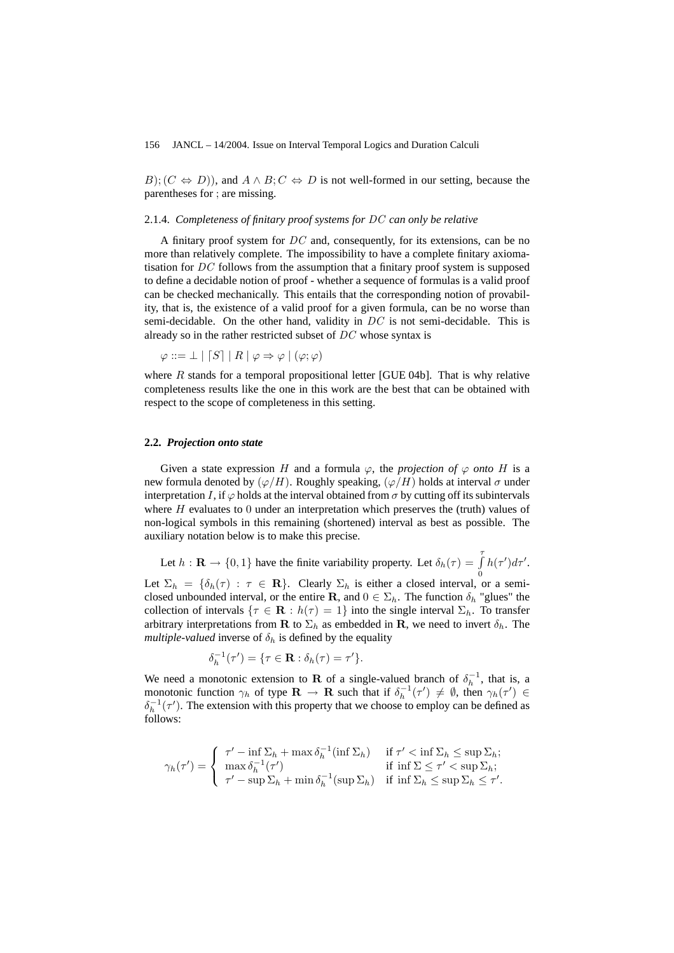B);  $(C \Leftrightarrow D)$ , and  $A \wedge B$ ;  $C \Leftrightarrow D$  is not well-formed in our setting, because the parentheses for ; are missing.

## 2.1.4. *Completeness of finitary proof systems for* DC *can only be relative*

A finitary proof system for DC and, consequently, for its extensions, can be no more than relatively complete. The impossibility to have a complete finitary axiomatisation for DC follows from the assumption that a finitary proof system is supposed to define a decidable notion of proof - whether a sequence of formulas is a valid proof can be checked mechanically. This entails that the corresponding notion of provability, that is, the existence of a valid proof for a given formula, can be no worse than semi-decidable. On the other hand, validity in  $DC$  is not semi-decidable. This is already so in the rather restricted subset of DC whose syntax is

$$
\varphi ::= \bot | [S] | R | \varphi \Rightarrow \varphi | (\varphi; \varphi)
$$

where  $R$  stands for a temporal propositional letter [GUE 04b]. That is why relative completeness results like the one in this work are the best that can be obtained with respect to the scope of completeness in this setting.

## **2.2.** *Projection onto state*

Given a state expression H and a formula  $\varphi$ , the *projection of*  $\varphi$  *onto* H is a new formula denoted by  $(\varphi/H)$ . Roughly speaking,  $(\varphi/H)$  holds at interval  $\sigma$  under interpretation I, if  $\varphi$  holds at the interval obtained from  $\sigma$  by cutting off its subintervals where  $H$  evaluates to 0 under an interpretation which preserves the (truth) values of non-logical symbols in this remaining (shortened) interval as best as possible. The auxiliary notation below is to make this precise.

Let 
$$
h : \mathbf{R} \to \{0, 1\}
$$
 have the finite variability property. Let  $\delta_h(\tau) = \int_0^{\tau} h(\tau') d\tau'$ .

Let  $\Sigma_h = \{\delta_h(\tau) : \tau \in \mathbf{R}\}\$ . Clearly  $\Sigma_h$  is either a closed interval, or a semiclosed unbounded interval, or the entire R, and  $0 \in \Sigma_h$ . The function  $\delta_h$  "glues" the collection of intervals  $\{\tau \in \mathbf{R} : h(\tau) = 1\}$  into the single interval  $\Sigma_h$ . To transfer arbitrary interpretations from R to  $\Sigma_h$  as embedded in R, we need to invert  $\delta_h$ . The *multiple-valued* inverse of  $\delta_h$  is defined by the equality

$$
\delta_h^{-1}(\tau') = \{\tau \in \mathbf{R} : \delta_h(\tau) = \tau'\}.
$$

We need a monotonic extension to **R** of a single-valued branch of  $\delta_h^{-1}$ , that is, a monotonic function  $\gamma_h$  of type  $\mathbf{R} \to \mathbf{R}$  such that if  $\delta_h^{-1}(\tau') \neq \emptyset$ , then  $\gamma_h(\tau') \in$  $\delta_h^{-1}(\tau')$ . The extension with this property that we choose to employ can be defined as follows:

$$
\gamma_h(\tau') = \begin{cases}\n\tau' - \inf \Sigma_h + \max \delta_h^{-1}(\inf \Sigma_h) & \text{if } \tau' < \inf \Sigma_h \le \sup \Sigma_h; \\
\max \delta_h^{-1}(\tau') & \text{if } \inf \Sigma \le \tau' < \sup \Sigma_h; \\
\tau' - \sup \Sigma_h + \min \delta_h^{-1}(\sup \Sigma_h) & \text{if } \inf \Sigma_h \le \sup \Sigma_h \le \tau'.\n\end{cases}
$$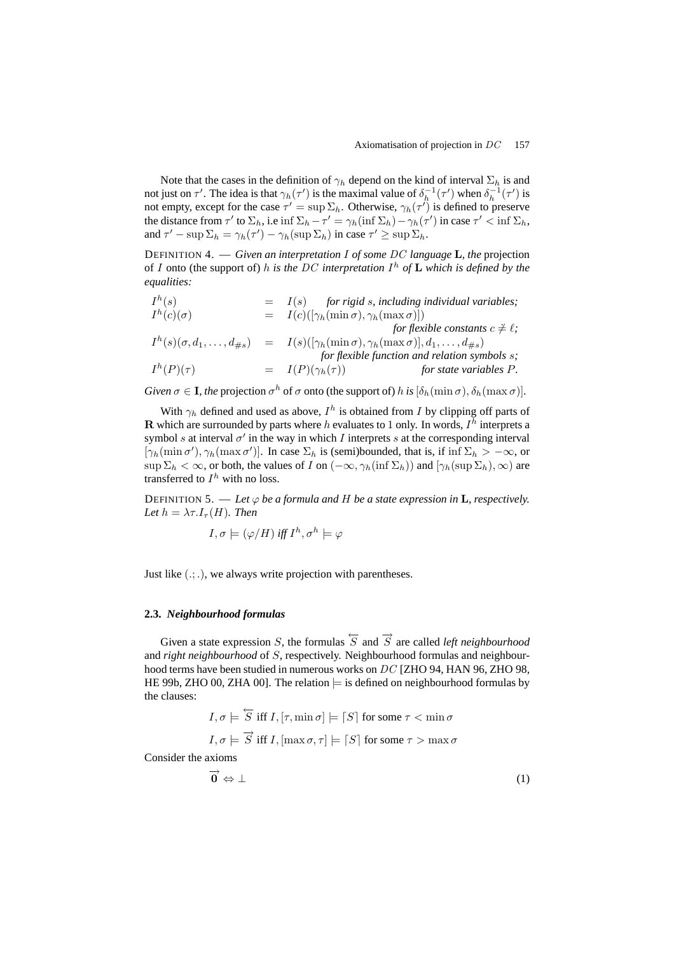Note that the cases in the definition of  $\gamma_h$  depend on the kind of interval  $\Sigma_h$  is and not just on  $\tau'$ . The idea is that  $\gamma_h(\tau')$  is the maximal value of  $\delta_h^{-1}(\tau')$  when  $\delta_h^{-1}(\tau')$  is not empty, except for the case  $\tau' = \sup \Sigma_h$ . Otherwise,  $\gamma_h(\tau')$  is defined to preserve the distance from  $\tau'$  to  $\Sigma_h$ , i.e inf  $\Sigma_h - \tau' = \gamma_h(\inf \Sigma_h) - \gamma_h(\tau')$  in case  $\tau' < \inf \Sigma_h$ , and  $\tau' - \sup \Sigma_h = \gamma_h(\tau') - \gamma_h(\sup \Sigma_h)$  in case  $\tau' \ge \sup \Sigma_h$ .

DEFINITION 4. — *Given an interpretation* I *of some* DC *language* L*, the* projection of I onto (the support of) h is the DC interpretation  $I^h$  of  $L$  which is defined by the *equalities:*

| $I^h(s)$         | $=$ $I(s)$ for rigid s, including individual variables;                                                             |
|------------------|---------------------------------------------------------------------------------------------------------------------|
| $I^h(c)(\sigma)$ | $= I(c)(\left[\gamma_h(\min \sigma), \gamma_h(\max \sigma)\right])$                                                 |
|                  | for flexible constants $c \neq \ell$ ;                                                                              |
|                  | $I^h(s)(\sigma, d_1, \ldots, d_{\#s}) = I(s)([\gamma_h(\min \sigma), \gamma_h(\max \sigma)], d_1, \ldots, d_{\#s})$ |
|                  | for flexible function and relation symbols $s$ ;                                                                    |
| $I^h(P)(\tau)$   | $= I(P)(\gamma_h(\tau))$<br>for state variables P.                                                                  |

*Given*  $\sigma \in \mathbf{I}$ , the projection  $\sigma^h$  of  $\sigma$  onto (the support of) h is  $[\delta_h(\min \sigma), \delta_h(\max \sigma)]$ .

With  $\gamma_h$  defined and used as above,  $I^h$  is obtained from I by clipping off parts of **R** which are surrounded by parts where h evaluates to 1 only. In words,  $I^{\overline{h}}$  interprets a symbol s at interval  $\sigma'$  in the way in which I interprets s at the corresponding interval  $[\gamma_h(\min \sigma'), \gamma_h(\max \sigma')]$ . In case  $\Sigma_h$  is (semi)bounded, that is, if  $\inf \Sigma_h > -\infty$ , or  $\sup \Sigma_h < \infty$ , or both, the values of I on  $(-\infty, \gamma_h(\inf \Sigma_h))$  and  $[\gamma_h(\sup \Sigma_h), \infty)$  are transferred to  $I^h$  with no loss.

DEFINITION 5. — Let  $\varphi$  *be a formula and H be a state expression in* **L**, *respectively. Let*  $h = \lambda \tau.I_{\tau}(H)$ *. Then* 

$$
I, \sigma \models (\varphi/H) \text{ iff } I^h, \sigma^h \models \varphi
$$

Just like  $(.; .)$ , we always write projection with parentheses.

## **2.3.** *Neighbourhood formulas*

Given a state expression S, the formulas  $\overleftrightarrow{S}$  and  $\overrightarrow{S}$  are called *left neighbourhood* and *right neighbourhood* of S, respectively. Neighbourhood formulas and neighbourhood terms have been studied in numerous works on DC [ZHO 94, HAN 96, ZHO 98, HE 99b, ZHO 00, ZHA 00]. The relation  $\models$  is defined on neighbourhood formulas by the clauses:

$$
I, \sigma \models \overleftarrow{S} \text{ iff } I, [\tau, \min \sigma] \models [S] \text{ for some } \tau < \min \sigma
$$
  

$$
I, \sigma \models \overrightarrow{S} \text{ iff } I, [\max \sigma, \tau] \models [S] \text{ for some } \tau > \max \sigma
$$

Consider the axioms

$$
\overrightarrow{0} \Leftrightarrow \bot \tag{1}
$$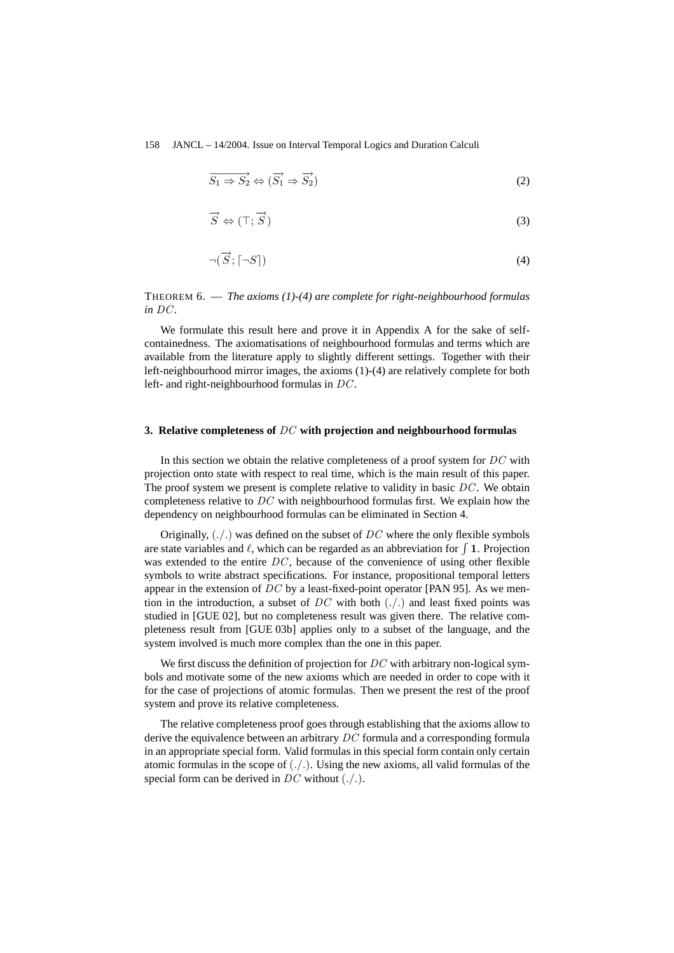$$
\overrightarrow{S_1 \Rightarrow S_2} \Leftrightarrow (\overrightarrow{S_1} \Rightarrow \overrightarrow{S_2})
$$
\n(2)

$$
\overrightarrow{S} \Leftrightarrow (\top; \overrightarrow{S}) \tag{3}
$$

$$
\neg(\overrightarrow{S}; \lceil \neg S \rceil) \tag{4}
$$

THEOREM 6. — *The axioms (1)-(4) are complete for right-neighbourhood formulas in* DC *.*

We formulate this result here and prove it in Appendix A for the sake of selfcontainedness. The axiomatisations of neighbourhood formulas and terms which are available from the literature apply to slightly different settings. Together with their left-neighbourhood mirror images, the axioms (1)-(4) are relatively complete for both left- and right-neighbourhood formulas in DC .

#### **3. Relative completeness of** DC **with projection and neighbourhood formulas**

In this section we obtain the relative completeness of a proof system for  $DC$  with projection onto state with respect to real time, which is the main result of this paper. The proof system we present is complete relative to validity in basic  $DC$ . We obtain completeness relative to DC with neighbourhood formulas first. We explain how the dependency on neighbourhood formulas can be eliminated in Section 4.

Originally,  $(./.)$  was defined on the subset of  $DC$  where the only flexible symbols are state variables and  $\ell$ , which can be regarded as an abbreviation for  $\int \mathbf{1}$ . Projection was extended to the entire  $DC$ , because of the convenience of using other flexible symbols to write abstract specifications. For instance, propositional temporal letters appear in the extension of  $DC$  by a least-fixed-point operator [PAN 95]. As we mention in the introduction, a subset of  $DC$  with both  $(./.)$  and least fixed points was studied in [GUE 02], but no completeness result was given there. The relative completeness result from [GUE 03b] applies only to a subset of the language, and the system involved is much more complex than the one in this paper.

We first discuss the definition of projection for  $DC$  with arbitrary non-logical symbols and motivate some of the new axioms which are needed in order to cope with it for the case of projections of atomic formulas. Then we present the rest of the proof system and prove its relative completeness.

The relative completeness proof goes through establishing that the axioms allow to derive the equivalence between an arbitrary DC formula and a corresponding formula in an appropriate special form. Valid formulas in this special form contain only certain atomic formulas in the scope of  $(./)$ . Using the new axioms, all valid formulas of the special form can be derived in  $DC$  without  $(./.)$ .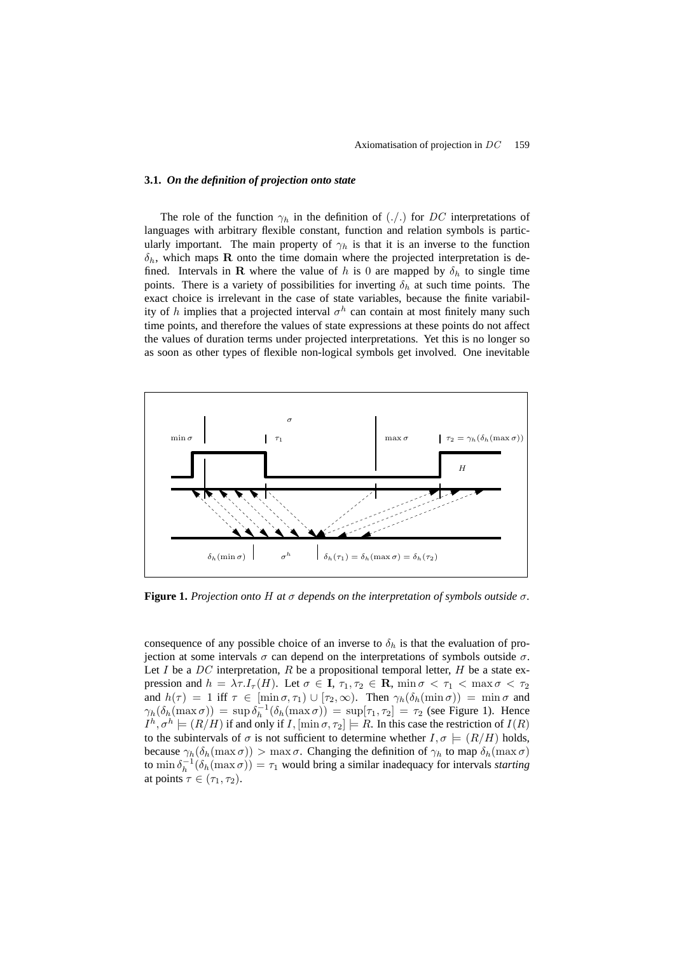#### **3.1.** *On the definition of projection onto state*

The role of the function  $\gamma_h$  in the definition of (./.) for DC interpretations of languages with arbitrary flexible constant, function and relation symbols is particularly important. The main property of  $\gamma_h$  is that it is an inverse to the function  $\delta_h$ , which maps R onto the time domain where the projected interpretation is defined. Intervals in **R** where the value of h is 0 are mapped by  $\delta_h$  to single time points. There is a variety of possibilities for inverting  $\delta_h$  at such time points. The exact choice is irrelevant in the case of state variables, because the finite variability of h implies that a projected interval  $\sigma^h$  can contain at most finitely many such time points, and therefore the values of state expressions at these points do not affect the values of duration terms under projected interpretations. Yet this is no longer so as soon as other types of flexible non-logical symbols get involved. One inevitable



**Figure 1.** *Projection onto* H *at* σ *depends on the interpretation of symbols outside* σ*.*

consequence of any possible choice of an inverse to  $\delta_h$  is that the evaluation of projection at some intervals  $\sigma$  can depend on the interpretations of symbols outside  $\sigma$ . Let I be a  $DC$  interpretation, R be a propositional temporal letter, H be a state expression and  $h = \lambda \tau I_{\tau}(H)$ . Let  $\sigma \in I$ ,  $\tau_1, \tau_2 \in \mathbb{R}$ ,  $\min \sigma < \tau_1 < \max \sigma < \tau_2$ and  $h(\tau) = 1$  iff  $\tau \in [\min \sigma, \tau_1) \cup [\tau_2, \infty)$ . Then  $\gamma_h(\delta_h(\min \sigma)) = \min \sigma$  and  $\gamma_h(\delta_h(\max \sigma)) = \sup \delta_h^{-1}(\delta_h(\max \sigma)) = \sup [\tau_1, \tau_2] = \tau_2$  (see Figure 1). Hence  $I^h, \sigma^h \models (R/H)$  if and only if  $I, [\min \sigma, \tau_2] \models R$ . In this case the restriction of  $I(R)$ to the subintervals of  $\sigma$  is not sufficient to determine whether  $I, \sigma \models (R/H)$  holds, because  $\gamma_h(\delta_h(\max \sigma)) > \max \sigma$ . Changing the definition of  $\gamma_h$  to map  $\delta_h(\max \sigma)$ to min  $\delta_h^{-1}(\delta_h(\max \sigma)) = \tau_1$  would bring a similar inadequacy for intervals *starting* at points  $\tau \in (\tau_1, \tau_2)$ .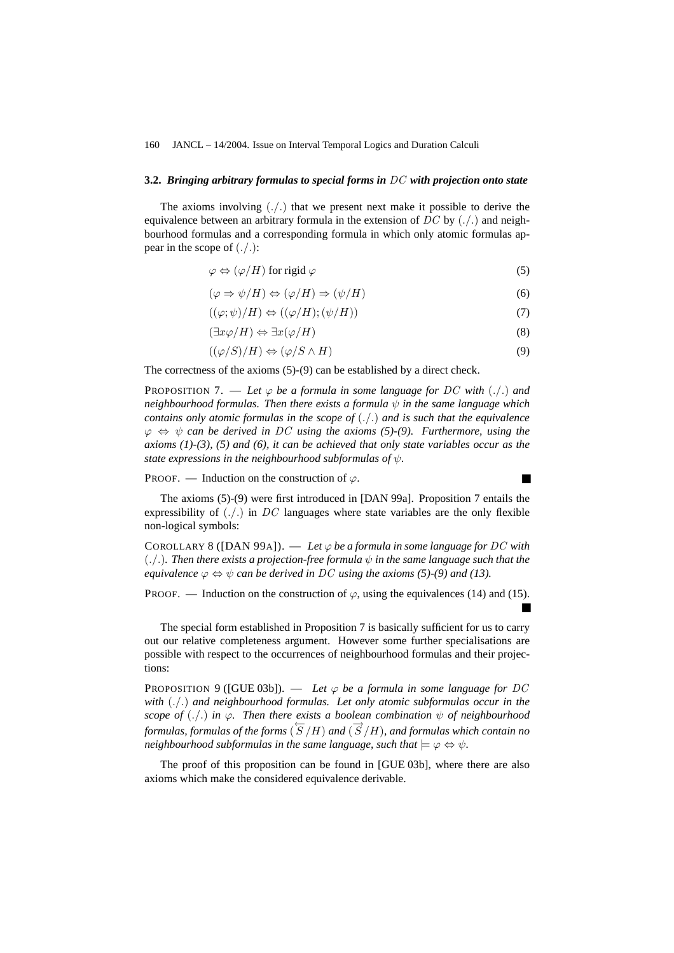#### **3.2.** *Bringing arbitrary formulas to special forms in* DC *with projection onto state*

The axioms involving  $(./.)$  that we present next make it possible to derive the equivalence between an arbitrary formula in the extension of  $DC$  by (./.) and neighbourhood formulas and a corresponding formula in which only atomic formulas appear in the scope of  $(./.)$ :

$$
\varphi \Leftrightarrow (\varphi/H) \text{ for rigid } \varphi \tag{5}
$$

$$
(\varphi \Rightarrow \psi/H) \Leftrightarrow (\varphi/H) \Rightarrow (\psi/H) \tag{6}
$$

$$
((\varphi; \psi)/H) \Leftrightarrow ((\varphi/H); (\psi/H)) \tag{7}
$$

$$
(\exists x \varphi/H) \Leftrightarrow \exists x (\varphi/H) \tag{8}
$$

$$
((\varphi/S)/H) \Leftrightarrow (\varphi/S \wedge H) \tag{9}
$$

The correctness of the axioms (5)-(9) can be established by a direct check.

PROPOSITION 7. — Let  $\varphi$  be a formula in some language for DC with  $(./.)$  and *neighbourhood formulas. Then there exists a formula* ψ *in the same language which contains only atomic formulas in the scope of* (./.) *and is such that the equivalence* ϕ ⇔ ψ *can be derived in* DC *using the axioms (5)-(9). Furthermore, using the axioms (1)-(3), (5) and (6), it can be achieved that only state variables occur as the state expressions in the neighbourhood subformulas of* ψ*.*

PROOF. — Induction on the construction of  $\varphi$ .

The axioms (5)-(9) were first introduced in [DAN 99a]. Proposition 7 entails the expressibility of  $(./.)$  in DC languages where state variables are the only flexible non-logical symbols:

COROLLARY 8 ([DAN 99A]).  $-$  *Let*  $\varphi$  *be a formula in some language for DC with*  $(./.)$ *. Then there exists a projection-free formula*  $\psi$  *in the same language such that the equivalence*  $\varphi \Leftrightarrow \psi$  *can be derived in DC using the axioms (5)-(9) and (13).* 

PROOF. — Induction on the construction of  $\varphi$ , using the equivalences (14) and (15). ■

The special form established in Proposition 7 is basically sufficient for us to carry out our relative completeness argument. However some further specialisations are possible with respect to the occurrences of neighbourhood formulas and their projections:

PROPOSITION 9 ([GUE 03b]). — Let  $\varphi$  be a formula in some language for DC *with* (./.) *and neighbourhood formulas. Let only atomic subformulas occur in the scope of* (./.) *in*  $\varphi$ *. Then there exists a boolean combination*  $\psi$  *of neighbourhood*  $f_{\text{correl}}(s) = \frac{f_{\text{correl}}(s)}{f_{\text{correl}}}$  *(S | H)* and  $(\overrightarrow{S}/H)$ , and formulas which contain noormulas, formulas of the forms  $(\overrightarrow{S}/H)$  and  $(\overrightarrow{S}/H)$ , and formulas which contain no *neighbourhood subformulas in the same language, such that*  $\models \varphi \Leftrightarrow \psi$ .

The proof of this proposition can be found in [GUE 03b], where there are also axioms which make the considered equivalence derivable.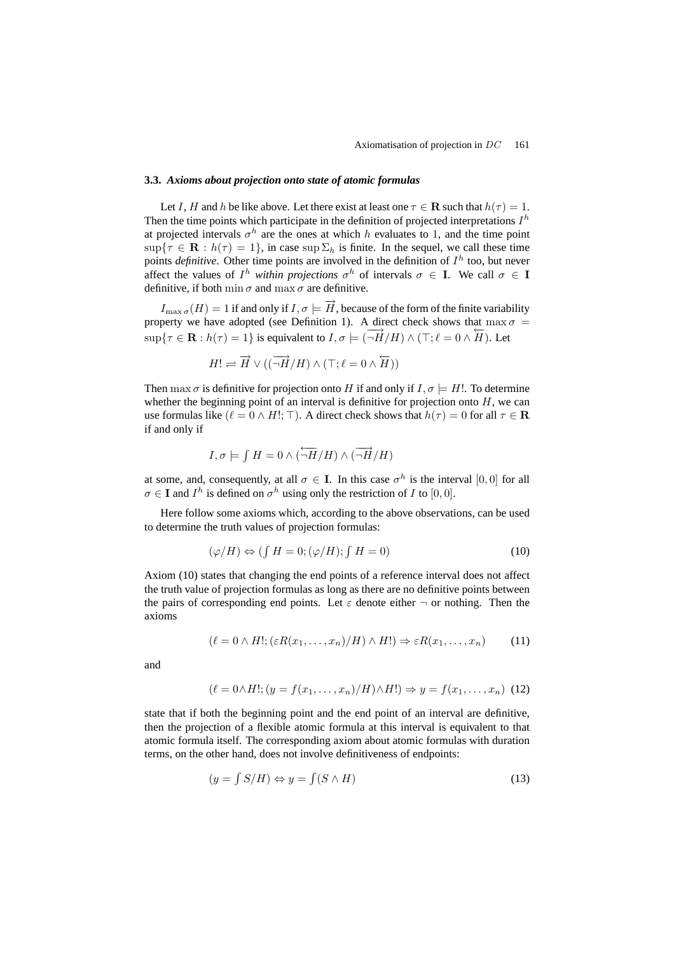#### **3.3.** *Axioms about projection onto state of atomic formulas*

Let I, H and h be like above. Let there exist at least one  $\tau \in \mathbb{R}$  such that  $h(\tau) = 1$ . Then the time points which participate in the definition of projected interpretations  $I^h$ at projected intervals  $\sigma^h$  are the ones at which h evaluates to 1, and the time point  $\sup\{\tau \in \mathbf{R} : h(\tau) = 1\}$ , in case  $\sup \Sigma_h$  is finite. In the sequel, we call these time points *definitive*. Other time points are involved in the definition of  $I<sup>h</sup>$  too, but never affect the values of  $I^h$  *within projections*  $\sigma^h$  of intervals  $\sigma \in I$ . We call  $\sigma \in I$ definitive, if both min  $\sigma$  and max  $\sigma$  are definitive.

 $I_{\max \sigma}(H) = 1$  if and only if  $I, \sigma \models \overrightarrow{H}$ , because of the form of the finite variability property we have adopted (see Definition 1). A direct check shows that  $\max \sigma =$  $\sup{\tau \in \mathbf{R} : h(\tau) = 1\}$  is equivalent to  $I, \sigma \models (\neg H/H) \land (\top; \ell = 0 \land H)$ . Let

$$
H! \rightleftharpoons \overrightarrow{H} \vee ((\overrightarrow{\neg H}/H) \wedge (\top; \ell = 0 \wedge \overleftarrow{H}))
$$

Then max  $\sigma$  is definitive for projection onto H if and only if  $I, \sigma \models H!$ . To determine whether the beginning point of an interval is definitive for projection onto  $H$ , we can use formulas like  $(\ell = 0 \land H!$ ;  $\top$ ). A direct check shows that  $h(\tau) = 0$  for all  $\tau \in \mathbb{R}$ if and only if

$$
I, \sigma \models \int H = 0 \wedge (\overleftarrow{\neg H}/H) \wedge (\overrightarrow{\neg H}/H)
$$

at some, and, consequently, at all  $\sigma \in I$ . In this case  $\sigma^h$  is the interval  $[0,0]$  for all  $\sigma \in \mathbf{I}$  and  $I^h$  is defined on  $\sigma^h$  using only the restriction of I to [0, 0].

Here follow some axioms which, according to the above observations, can be used to determine the truth values of projection formulas:

$$
(\varphi/H) \Leftrightarrow (\int H = 0; (\varphi/H); \int H = 0)
$$
\n(10)

Axiom (10) states that changing the end points of a reference interval does not affect the truth value of projection formulas as long as there are no definitive points between the pairs of corresponding end points. Let  $\varepsilon$  denote either  $\neg$  or nothing. Then the axioms

$$
(\ell = 0 \land H!; (\varepsilon R(x_1, \ldots, x_n) / H) \land H!) \Rightarrow \varepsilon R(x_1, \ldots, x_n) \tag{11}
$$

and

$$
(\ell = 0 \land H!; (y = f(x_1, \dots, x_n) / H) \land H!) \Rightarrow y = f(x_1, \dots, x_n)
$$
 (12)

state that if both the beginning point and the end point of an interval are definitive, then the projection of a flexible atomic formula at this interval is equivalent to that atomic formula itself. The corresponding axiom about atomic formulas with duration terms, on the other hand, does not involve definitiveness of endpoints:

$$
(y = \int S/H) \Leftrightarrow y = \int (S \wedge H) \tag{13}
$$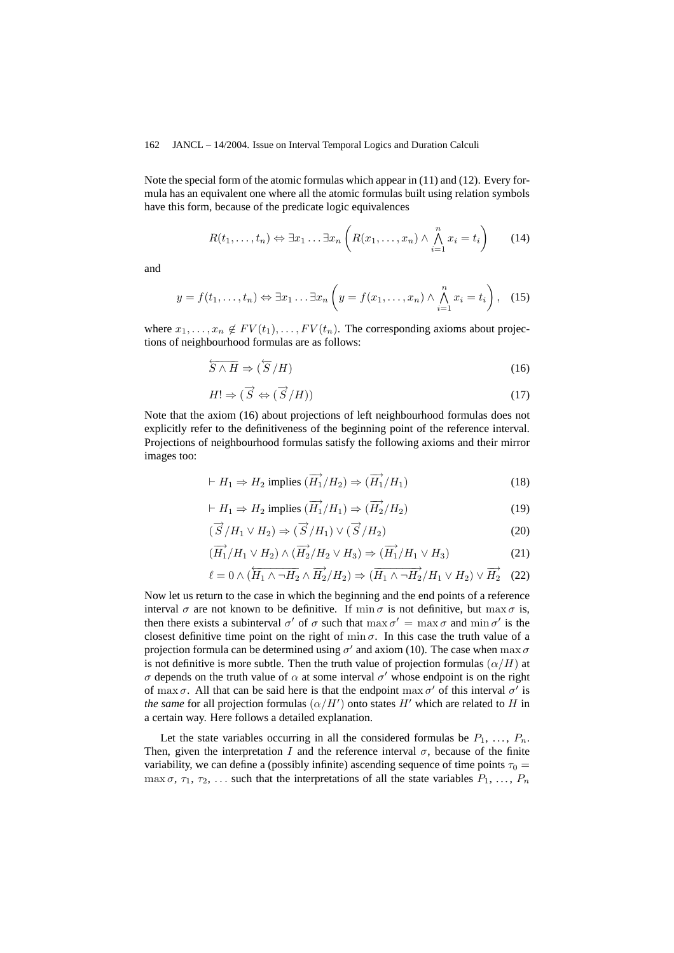Note the special form of the atomic formulas which appear in (11) and (12). Every formula has an equivalent one where all the atomic formulas built using relation symbols have this form, because of the predicate logic equivalences

$$
R(t_1,\ldots,t_n) \Leftrightarrow \exists x_1\ldots\exists x_n \left(R(x_1,\ldots,x_n)\wedge \bigwedge_{i=1}^n x_i = t_i\right) \qquad (14)
$$

and

$$
y = f(t_1, \ldots, t_n) \Leftrightarrow \exists x_1 \ldots \exists x_n \left( y = f(x_1, \ldots, x_n) \land \bigwedge_{i=1}^n x_i = t_i \right), \quad (15)
$$

where  $x_1, \ldots, x_n \notin FV(t_1), \ldots, FV(t_n)$ . The corresponding axioms about projections of neighbourhood formulas are as follows:

$$
\overleftarrow{S \wedge H} \Rightarrow (\overleftarrow{S}/H) \tag{16}
$$

$$
H! \Rightarrow (\overrightarrow{S} \Leftrightarrow (\overrightarrow{S}/H)) \tag{17}
$$

Note that the axiom (16) about projections of left neighbourhood formulas does not explicitly refer to the definitiveness of the beginning point of the reference interval. Projections of neighbourhood formulas satisfy the following axioms and their mirror images too:

$$
\vdash H_1 \Rightarrow H_2 \text{ implies } (\overrightarrow{H_1}/H_2) \Rightarrow (\overrightarrow{H_1}/H_1) \tag{18}
$$

$$
\vdash H_1 \Rightarrow H_2 \text{ implies } (\overrightarrow{H_1}/H_1) \Rightarrow (\overrightarrow{H_2}/H_2) \tag{19}
$$

$$
(\overrightarrow{S}/H_1 \vee H_2) \Rightarrow (\overrightarrow{S}/H_1) \vee (\overrightarrow{S}/H_2)
$$
\n(20)

$$
(\overrightarrow{H_1}/H_1 \vee H_2) \wedge (\overrightarrow{H_2}/H_2 \vee H_3) \Rightarrow (\overrightarrow{H_1}/H_1 \vee H_3)
$$
\n(21)

$$
\ell = 0 \wedge (\overleftrightarrow{H_1 \wedge \neg H_2} \wedge \overrightarrow{H_2}/H_2) \Rightarrow (\overrightarrow{H_1 \wedge \neg H_2}/H_1 \vee H_2) \vee \overrightarrow{H_2}
$$
 (22)

Now let us return to the case in which the beginning and the end points of a reference interval  $\sigma$  are not known to be definitive. If min  $\sigma$  is not definitive, but max  $\sigma$  is, then there exists a subinterval  $\sigma'$  of  $\sigma$  such that  $\max \sigma' = \max \sigma$  and  $\min \sigma'$  is the closest definitive time point on the right of min  $\sigma$ . In this case the truth value of a projection formula can be determined using  $\sigma'$  and axiom (10). The case when max  $\sigma$ is not definitive is more subtle. Then the truth value of projection formulas  $(\alpha/H)$  at σ depends on the truth value of  $\alpha$  at some interval σ' whose endpoint is on the right of max  $\sigma$ . All that can be said here is that the endpoint max  $\sigma'$  of this interval  $\sigma'$  is *the same* for all projection formulas  $(\alpha/H')$  onto states  $H'$  which are related to  $H$  in a certain way. Here follows a detailed explanation.

Let the state variables occurring in all the considered formulas be  $P_1, \ldots, P_n$ . Then, given the interpretation I and the reference interval  $\sigma$ , because of the finite variability, we can define a (possibly infinite) ascending sequence of time points  $\tau_0$  = max  $\sigma$ ,  $\tau_1$ ,  $\tau_2$ , ... such that the interpretations of all the state variables  $P_1$ , ...,  $P_n$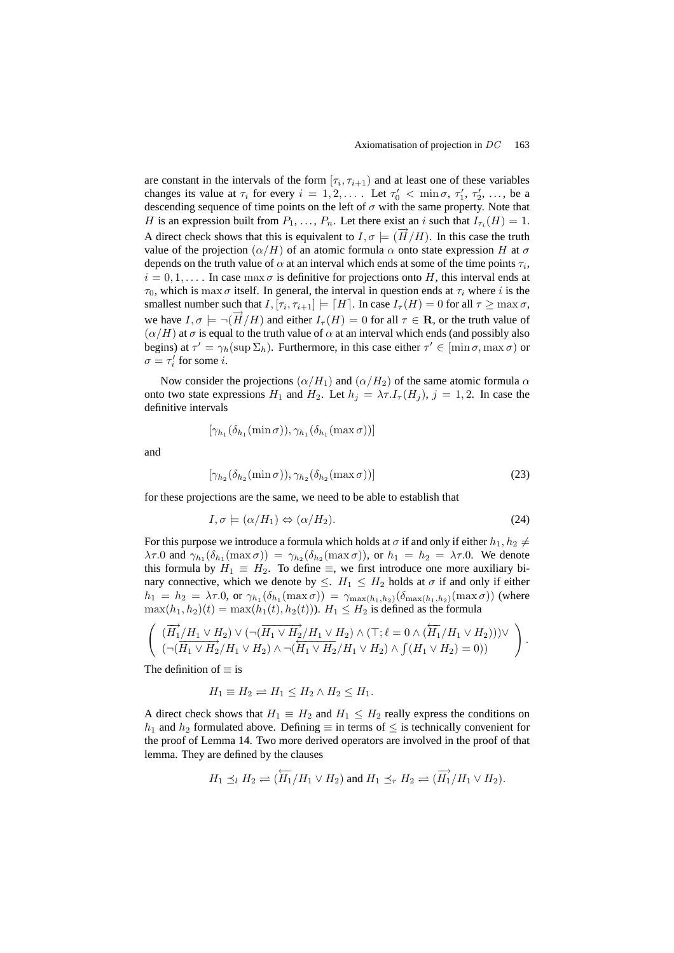are constant in the intervals of the form  $[\tau_i, \tau_{i+1})$  and at least one of these variables changes its value at  $\tau_i$  for every  $i = 1, 2, \ldots$ . Let  $\tau'_0 < \min \sigma, \tau'_1, \tau'_2, \ldots$ , be a descending sequence of time points on the left of  $\sigma$  with the same property. Note that H is an expression built from  $P_1, \ldots, P_n$ . Let there exist an i such that  $I_{\tau_i}(H) = 1$ . A direct check shows that this is equivalent to  $I, \sigma \models (\overrightarrow{H}/H)$ . In this case the truth value of the projection  $(\alpha/H)$  of an atomic formula  $\alpha$  onto state expression H at  $\sigma$ depends on the truth value of  $\alpha$  at an interval which ends at some of the time points  $\tau_i$ ,  $i = 0, 1, \ldots$ . In case max  $\sigma$  is definitive for projections onto H, this interval ends at  $\tau_0$ , which is max  $\sigma$  itself. In general, the interval in question ends at  $\tau_i$  where i is the smallest number such that  $I, [\tau_i, \tau_{i+1}] \models [H]$ . In case  $I_{\tau}(H) = 0$  for all  $\tau \ge \max \sigma$ , we have  $I, \sigma \models \neg(\overrightarrow{H}/H)$  and either  $I_{\tau}(H) = 0$  for all  $\tau \in \mathbf{R}$ , or the truth value of  $(\alpha/H)$  at  $\sigma$  is equal to the truth value of  $\alpha$  at an interval which ends (and possibly also begins) at  $\tau' = \gamma_h(\sup \Sigma_h)$ . Furthermore, in this case either  $\tau' \in [\min \sigma, \max \sigma)$  or  $\sigma = \tau_i'$  for some *i*.

Now consider the projections  $(\alpha/H_1)$  and  $(\alpha/H_2)$  of the same atomic formula  $\alpha$ onto two state expressions  $H_1$  and  $H_2$ . Let  $h_j = \lambda \tau I_{\tau}(H_j)$ ,  $j = 1, 2$ . In case the definitive intervals

$$
\gamma_{h_1}(\delta_{h_1}(\min \sigma)), \gamma_{h_1}(\delta_{h_1}(\max \sigma))]
$$

and

 $\lceil$ 

$$
[\gamma_{h_2}(\delta_{h_2}(\min \sigma)), \gamma_{h_2}(\delta_{h_2}(\max \sigma))]
$$
\n(23)

for these projections are the same, we need to be able to establish that

$$
I, \sigma \models (\alpha/H_1) \Leftrightarrow (\alpha/H_2). \tag{24}
$$

.

For this purpose we introduce a formula which holds at  $\sigma$  if and only if either  $h_1,h_2\neq$  $\lambda \tau.0$  and  $\gamma_{h_1}(\delta_{h_1}(\max \sigma)) = \gamma_{h_2}(\delta_{h_2}(\max \sigma))$ , or  $h_1 = h_2 = \lambda \tau.0$ . We denote this formula by  $H_1 \equiv H_2$ . To define  $\equiv$ , we first introduce one more auxiliary binary connective, which we denote by  $\leq$ .  $H_1 \leq H_2$  holds at  $\sigma$  if and only if either  $h_1 = h_2 = \lambda \tau. 0$ , or  $\gamma_{h_1}(\delta_{h_1}(\max \sigma)) = \gamma_{\max(h_1, h_2)}(\delta_{\max(h_1, h_2)}(\max \sigma))$  (where  $\max(h_1,h_2)(t) = \max(h_1(t),h_2(t))$ ).  $H_1 \leq H_2$  is defined as the formula

$$
\left(\begin{array}{c} (\overrightarrow{H_1}/H_1\vee H_2)\vee (\neg(\overrightarrow{H_1\vee H_2}/H_1\vee H_2)\wedge (\top;\ell=0\wedge (\overleftarrow{H_1}/H_1\vee H_2)))\vee\\ (\neg(\overrightarrow{H_1\vee H_2}/H_1\vee H_2)\wedge \neg(\overleftarrow{H_1\vee H_2}/H_1\vee H_2)\wedge \int(H_1\vee H_2)=0))\end{array}\right)
$$

The definition of  $\equiv$  is

$$
H_1 \equiv H_2 \rightleftharpoons H_1 \le H_2 \wedge H_2 \le H_1.
$$

A direct check shows that  $H_1 \equiv H_2$  and  $H_1 \leq H_2$  really express the conditions on h<sub>1</sub> and h<sub>2</sub> formulated above. Defining  $\equiv$  in terms of  $\leq$  is technically convenient for the proof of Lemma 14. Two more derived operators are involved in the proof of that lemma. They are defined by the clauses

$$
H_1 \preceq_l H_2 \rightleftharpoons (\overleftarrow{H}_1/H_1 \vee H_2) \text{ and } H_1 \preceq_r H_2 \rightleftharpoons (\overrightarrow{H}_1/H_1 \vee H_2).
$$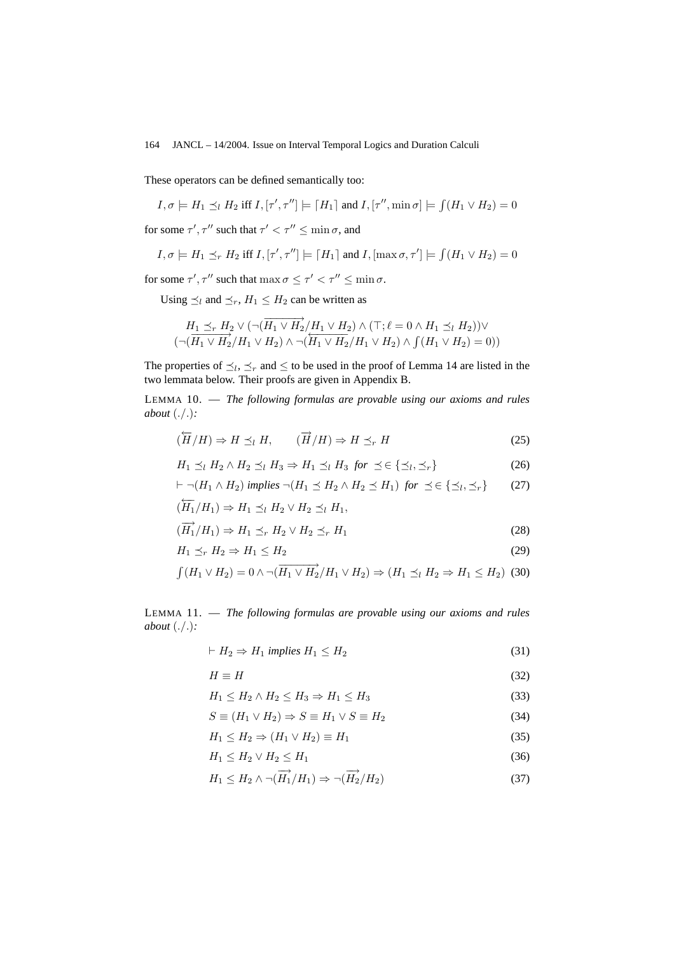These operators can be defined semantically too:

$$
I, \sigma \models H_1 \preceq_l H_2 \text{ iff } I, [\tau', \tau''] \models [H_1] \text{ and } I, [\tau'', \min \sigma] \models \int (H_1 \vee H_2) = 0
$$

for some  $\tau', \tau''$  such that  $\tau' < \tau'' \le \min \sigma$ , and

$$
I, \sigma \models H_1 \preceq_r H_2 \text{ iff } I, [\tau', \tau''] \models \lceil H_1 \rceil \text{ and } I, [\max \sigma, \tau'] \models \int (H_1 \vee H_2) = 0
$$

for some  $\tau', \tau''$  such that  $\max \sigma \leq \tau' < \tau'' \leq \min \sigma$ .

Using  $\preceq_l$  and  $\preceq_r$ ,  $H_1 \leq H_2$  can be written as

$$
H_1 \preceq_r H_2 \vee (\neg(\overrightarrow{H_1 \vee H_2}/H_1 \vee H_2) \wedge (\top; \ell = 0 \wedge H_1 \preceq_l H_2)) \vee
$$
  

$$
(\neg(\overrightarrow{H_1 \vee H_2}/H_1 \vee H_2) \wedge \neg(\overleftarrow{H_1 \vee H_2}/H_1 \vee H_2) \wedge \int (H_1 \vee H_2) = 0))
$$

The properties of  $\preceq_l$ ,  $\preceq_r$  and  $\leq$  to be used in the proof of Lemma 14 are listed in the two lemmata below. Their proofs are given in Appendix B.

LEMMA 10. — *The following formulas are provable using our axioms and rules about* (./.)*:*

$$
(\overleftarrow{H}/H) \Rightarrow H \preceq_l H, \qquad (\overrightarrow{H}/H) \Rightarrow H \preceq_r H \tag{25}
$$

$$
H_1 \preceq_l H_2 \wedge H_2 \preceq_l H_3 \Rightarrow H_1 \preceq_l H_3 \text{ for } \preceq \in \{\preceq_l, \preceq_r\} \tag{26}
$$

$$
\vdash \neg (H_1 \land H_2) \text{ implies } \neg (H_1 \preceq H_2 \land H_2 \preceq H_1) \text{ for } \preceq \in \{\preceq_l, \preceq_r\} \tag{27}
$$

$$
(\overleftarrow{H_1}/H_1) \Rightarrow H_1 \leq_l H_2 \vee H_2 \leq_l H_1,
$$
  
\n
$$
(\overrightarrow{H_1}/H_1) \Rightarrow H_1 \leq_r H_2 \vee H_2 \leq_r H_1
$$
\n(28)

$$
H_1 \preceq_r H_2 \Rightarrow H_1 \le H_2 \tag{29}
$$

$$
\int (H_1 \vee H_2) = 0 \wedge \neg(\overrightarrow{H_1 \vee H_2}/H_1 \vee H_2) \Rightarrow (H_1 \preceq_l H_2 \Rightarrow H_1 \leq H_2)
$$
 (30)

LEMMA 11. — *The following formulas are provable using our axioms and rules about* (./.)*:*

$$
\vdash H_2 \Rightarrow H_1 \text{ implies } H_1 \le H_2 \tag{31}
$$

$$
H \equiv H \tag{32}
$$

$$
H_1 \le H_2 \wedge H_2 \le H_3 \Rightarrow H_1 \le H_3 \tag{33}
$$

$$
S \equiv (H_1 \lor H_2) \Rightarrow S \equiv H_1 \lor S \equiv H_2 \tag{34}
$$

$$
H_1 \le H_2 \Rightarrow (H_1 \vee H_2) \equiv H_1 \tag{35}
$$

$$
H_1 \le H_2 \vee H_2 \le H_1 \tag{36}
$$

$$
H_1 \le H_2 \wedge \neg(\overrightarrow{H_1}/H_1) \Rightarrow \neg(\overrightarrow{H_2}/H_2)
$$
\n(37)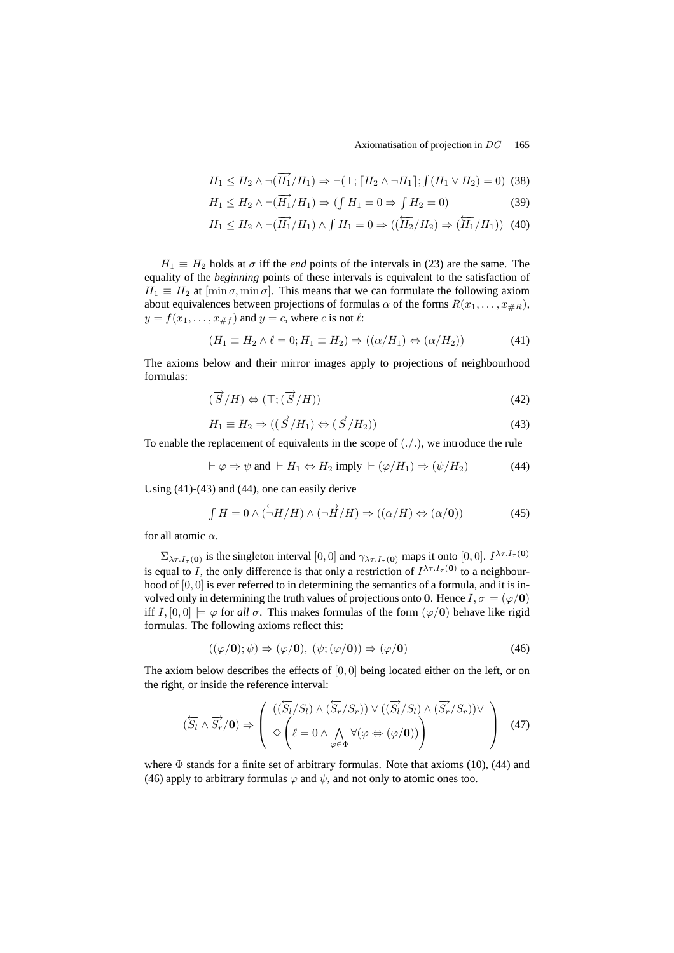Axiomatisation of projection in DC 165

$$
H_1 \le H_2 \wedge \neg(\overrightarrow{H_1}/H_1) \Rightarrow \neg(\top; [H_2 \wedge \neg H_1]; [H_1 \vee H_2) = 0)
$$
 (38)

$$
H_1 \le H_2 \wedge \neg(\overrightarrow{H_1}/H_1) \Rightarrow (\int H_1 = 0 \Rightarrow \int H_2 = 0)
$$
 (39)

$$
H_1 \le H_2 \wedge \neg(\overrightarrow{H_1}/H_1) \wedge \int H_1 = 0 \Rightarrow ((\overleftarrow{H_2}/H_2) \Rightarrow (\overleftarrow{H_1}/H_1)) \tag{40}
$$

 $H_1 \equiv H_2$  holds at  $\sigma$  iff the *end* points of the intervals in (23) are the same. The equality of the *beginning* points of these intervals is equivalent to the satisfaction of  $H_1 \equiv H_2$  at  $[\min \sigma, \min \sigma]$ . This means that we can formulate the following axiom about equivalences between projections of formulas  $\alpha$  of the forms  $R(x_1, \ldots, x_{\#R})$ ,  $y = f(x_1, \ldots, x_{\# f})$  and  $y = c$ , where c is not  $\ell$ :

$$
(H_1 \equiv H_2 \land \ell = 0; H_1 \equiv H_2) \Rightarrow ((\alpha/H_1) \Leftrightarrow (\alpha/H_2))
$$
 (41)

The axioms below and their mirror images apply to projections of neighbourhood formulas:

$$
(\overrightarrow{S}/H) \Leftrightarrow (\top; (\overrightarrow{S}/H)) \tag{42}
$$

$$
H_1 \equiv H_2 \Rightarrow ((\overrightarrow{S}/H_1) \Leftrightarrow (\overrightarrow{S}/H_2)) \tag{43}
$$

To enable the replacement of equivalents in the scope of  $(./.)$ , we introduce the rule

$$
\vdash \varphi \Rightarrow \psi \text{ and } \vdash H_1 \Leftrightarrow H_2 \text{ imply } \vdash (\varphi/H_1) \Rightarrow (\psi/H_2) \tag{44}
$$

Using (41)-(43) and (44), one can easily derive

$$
\int H = 0 \wedge (\overrightarrow{\neg H}/H) \wedge (\overrightarrow{\neg H}/H) \Rightarrow ((\alpha/H) \Leftrightarrow (\alpha/O))
$$
 (45)

for all atomic  $\alpha$ .

 $\Sigma_{\lambda \tau, I_{\tau}(\mathbf{0})}$  is the singleton interval  $[0, 0]$  and  $\gamma_{\lambda \tau, I_{\tau}(\mathbf{0})}$  maps it onto  $[0, 0]$ .  $I^{\lambda \tau, I_{\tau}(\mathbf{0})}$ is equal to I, the only difference is that only a restriction of  $I^{\lambda \tau I_{\tau}(0)}$  to a neighbourhood of  $[0, 0]$  is ever referred to in determining the semantics of a formula, and it is involved only in determining the truth values of projections onto 0. Hence  $I, \sigma \models (\varphi / 0)$ iff  $I$ ,  $[0,0] \models \varphi$  for *all*  $\sigma$ . This makes formulas of the form  $(\varphi/\mathbf{0})$  behave like rigid formulas. The following axioms reflect this:

$$
((\varphi/\mathbf{0}); \psi) \Rightarrow (\varphi/\mathbf{0}), (\psi; (\varphi/\mathbf{0})) \Rightarrow (\varphi/\mathbf{0})
$$
\n(46)

The axiom below describes the effects of  $[0, 0]$  being located either on the left, or on the right, or inside the reference interval:

$$
(\overleftrightarrow{S}_l \wedge \overrightarrow{S}_r / \mathbf{0}) \Rightarrow \left( \begin{array}{c} ((\overleftarrow{S}_l / S_l) \wedge (\overleftarrow{S}_r / S_r)) \vee ((\overrightarrow{S}_l / S_l) \wedge (\overrightarrow{S}_r / S_r)) \vee \\ \diamond \left( \ell = 0 \wedge \bigwedge_{\varphi \in \Phi} \forall (\varphi \Leftrightarrow (\varphi / \mathbf{0})) \right) \end{array} \right) \tag{47}
$$

where  $\Phi$  stands for a finite set of arbitrary formulas. Note that axioms (10), (44) and (46) apply to arbitrary formulas  $\varphi$  and  $\psi$ , and not only to atomic ones too.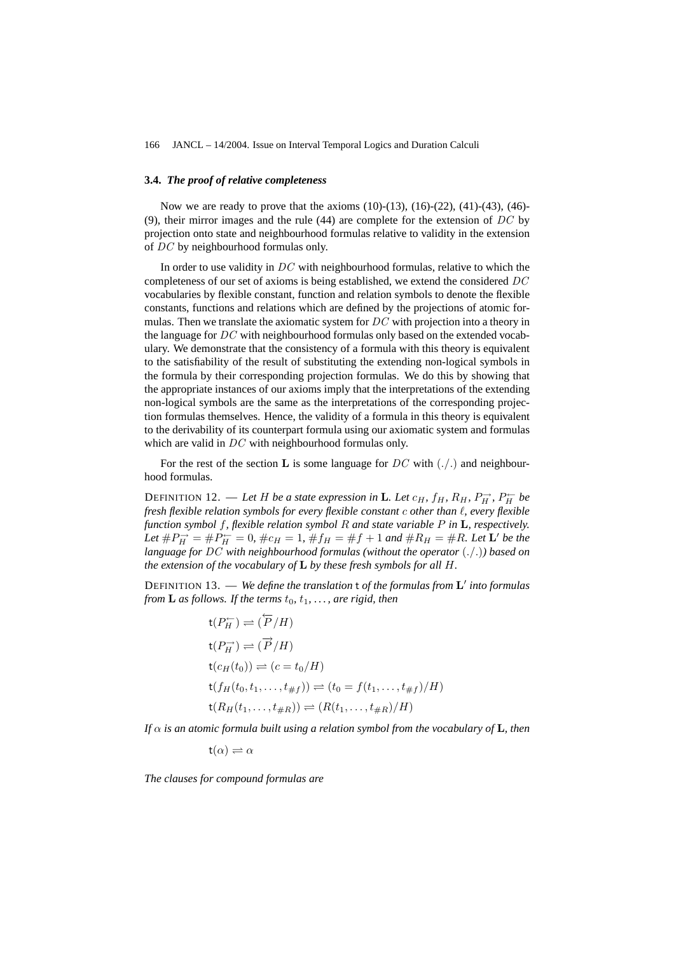#### **3.4.** *The proof of relative completeness*

Now we are ready to prove that the axioms  $(10)-(13)$ ,  $(16)-(22)$ ,  $(41)-(43)$ ,  $(46)$ -(9), their mirror images and the rule (44) are complete for the extension of  $DC$  by projection onto state and neighbourhood formulas relative to validity in the extension of DC by neighbourhood formulas only.

In order to use validity in  $DC$  with neighbourhood formulas, relative to which the completeness of our set of axioms is being established, we extend the considered DC vocabularies by flexible constant, function and relation symbols to denote the flexible constants, functions and relations which are defined by the projections of atomic formulas. Then we translate the axiomatic system for DC with projection into a theory in the language for DC with neighbourhood formulas only based on the extended vocabulary. We demonstrate that the consistency of a formula with this theory is equivalent to the satisfiability of the result of substituting the extending non-logical symbols in the formula by their corresponding projection formulas. We do this by showing that the appropriate instances of our axioms imply that the interpretations of the extending non-logical symbols are the same as the interpretations of the corresponding projection formulas themselves. Hence, the validity of a formula in this theory is equivalent to the derivability of its counterpart formula using our axiomatic system and formulas which are valid in DC with neighbourhood formulas only.

For the rest of the section **L** is some language for  $DC$  with  $(./.)$  and neighbourhood formulas.

DEFINITION 12. — Let H be a state expression in L. Let  $c_H$ ,  $f_H$ ,  $R_H$ ,  $P_H^{\rightarrow}$ ,  $P_H^{\leftarrow}$  be *fresh flexible relation symbols for every flexible constant* c *other than* ℓ*, every flexible function symbol* f*, flexible relation symbol* R *and state variable* P *in* L*, respectively.*  $Let #P_H^{\rightarrow} = #P_H^{\leftarrow} = 0, #c_H = 1, #f_H = #f + 1$  and  $#R_H = #R$ . Let  $\mathbf{L}'$  be the *language for* DC *with neighbourhood formulas (without the operator* (./.)*) based on the extension of the vocabulary of* L *by these fresh symbols for all* H*.*

DEFINITION 13. — *We define the translation* t *of the formulas from* L ′ *into formulas from* **L** as follows. If the terms  $t_0, t_1, \ldots$ , are rigid, then

$$
\begin{aligned} \mathsf{t}(P_H^{\leftarrow}) &\rightleftharpoons (\overline{P}/H) \\ \mathsf{t}(P_H^{\rightarrow}) &\rightleftharpoons (\overrightarrow{P}/H) \\ \mathsf{t}(c_H(t_0)) &\rightleftharpoons (c = t_0/H) \\ \mathsf{t}(f_H(t_0, t_1, \dots, t_{\#f})) &\rightleftharpoons (t_0 = f(t_1, \dots, t_{\#f})/H) \\ \mathsf{t}(R_H(t_1, \dots, t_{\#R})) &\rightleftharpoons (R(t_1, \dots, t_{\#R})/H) \end{aligned}
$$

*If*  $\alpha$  *is an atomic formula built using a relation symbol from the vocabulary of* **L**, *then* 

 $t(\alpha) \rightleftharpoons \alpha$ 

*The clauses for compound formulas are*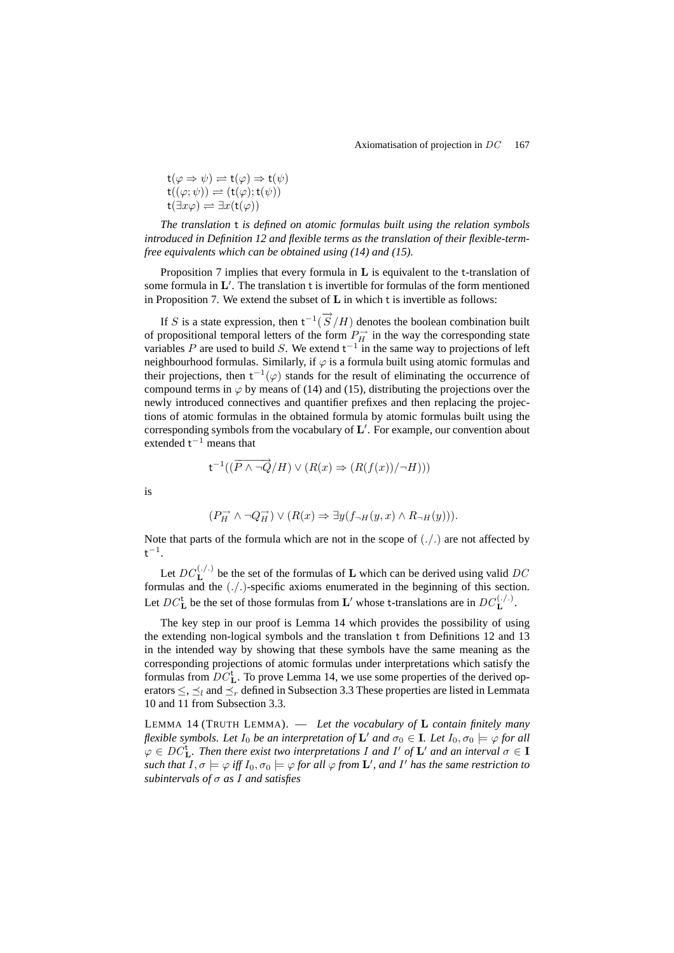$$
t(\varphi \Rightarrow \psi) \Rightarrow t(\varphi) \Rightarrow t(\psi)
$$
  

$$
t((\varphi; \psi)) \Rightarrow (t(\varphi); t(\psi))
$$
  

$$
t(\exists x \varphi) \Rightarrow \exists x(t(\varphi))
$$

*The translation* t *is defined on atomic formulas built using the relation symbols introduced in Definition 12 and flexible terms as the translation of their flexible-termfree equivalents which can be obtained using (14) and (15).*

Proposition 7 implies that every formula in  $\bf{L}$  is equivalent to the t-translation of some formula in L ′ . The translation t is invertible for formulas of the form mentioned in Proposition 7. We extend the subset of  $L$  in which  $t$  is invertible as follows:

If S is a state expression, then  $t^{-1}(\overrightarrow{S}/H)$  denotes the boolean combination built of propositional temporal letters of the form  $P_H^{\rightarrow}$  in the way the corresponding state variables P are used to build S. We extend  $t^{-1}$  in the same way to projections of left neighbourhood formulas. Similarly, if  $\varphi$  is a formula built using atomic formulas and their projections, then  $t^{-1}(\varphi)$  stands for the result of eliminating the occurrence of compound terms in  $\varphi$  by means of (14) and (15), distributing the projections over the newly introduced connectives and quantifier prefixes and then replacing the projections of atomic formulas in the obtained formula by atomic formulas built using the corresponding symbols from the vocabulary of L ′ . For example, our convention about extended  $t^{-1}$  means that

$$
t^{-1}((\overrightarrow{P \wedge \neg Q}/H) \vee (R(x) \Rightarrow (R(f(x)) / \neg H)))
$$

is

t

$$
(P_H^{\rightarrow} \wedge \neg Q_H^{\rightarrow}) \vee (R(x) \Rightarrow \exists y (f_{\neg H}(y, x) \wedge R_{\neg H}(y))).
$$

Note that parts of the formula which are not in the scope of  $(./.)$  are not affected by  $t^{-1}$ .

Let  $DC_{\mathbf{L}}^{(\cdot)}$  be the set of the formulas of L which can be derived using valid DC formulas and the (./.)-specific axioms enumerated in the beginning of this section. Let  $DC_{\mathbf{L}}^{\mathsf{t}}$  be the set of those formulas from L' whose t-translations are in  $DC_{\mathbf{L}}^{(\cdot)}$ .

The key step in our proof is Lemma 14 which provides the possibility of using the extending non-logical symbols and the translation t from Definitions 12 and 13 in the intended way by showing that these symbols have the same meaning as the corresponding projections of atomic formulas under interpretations which satisfy the formulas from  $DC_{L}^{\dagger}$ . To prove Lemma 14, we use some properties of the derived operators  $\leq$ ,  $\preceq_l$  and  $\preceq_r$  defined in Subsection 3.3 These properties are listed in Lemmata 10 and 11 from Subsection 3.3.

LEMMA 14 (TRUTH LEMMA). — *Let the vocabulary of* L *contain finitely many flexible symbols. Let*  $I_0$  *be an interpretation of*  $\mathbf{L}'$  *and*  $\sigma_0 \in \mathbf{I}$ *. Let*  $I_0, \sigma_0 \models \varphi$  *for all*  $\varphi \in DC_{\mathbf{L}}^{\mathbf{t}}$ . Then there exist two interpretations I and I' of  $\mathbf{L}'$  and an interval  $\sigma \in \mathbf{L}'$  $s$ uch that  $I,\sigma \models \varphi$  iff  $I_0,\sigma_0 \models \varphi$  for all  $\varphi$  from  $\mathbf L'$  , and  $I'$  has the same restriction to *subintervals of* σ *as* I *and satisfies*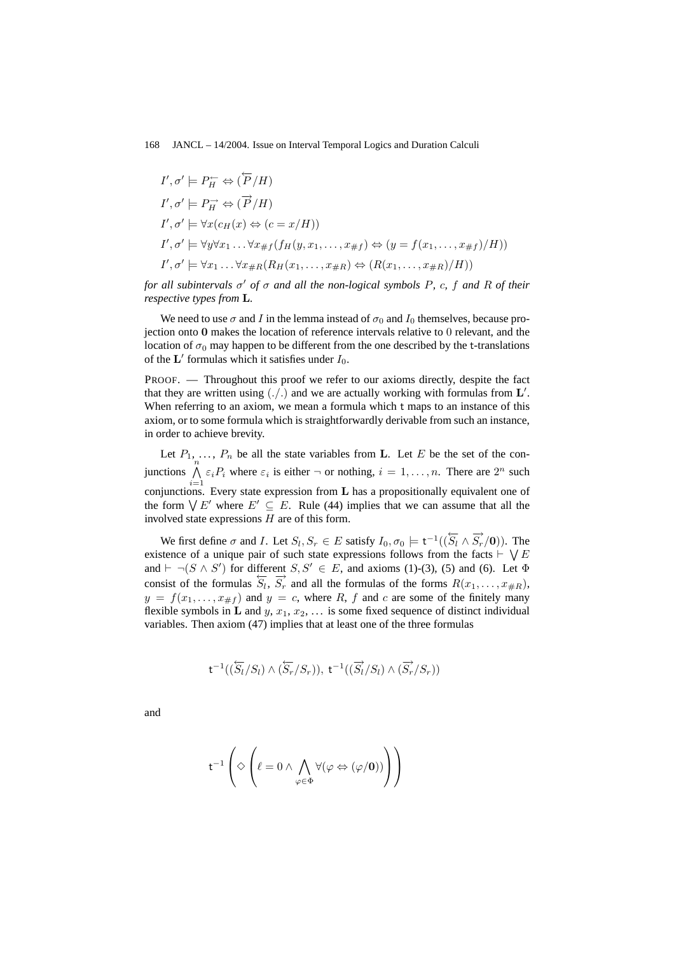$$
I', \sigma' \models P_H^{\leftarrow} \Leftrightarrow (\overline{P}/H)
$$
  
\n
$$
I', \sigma' \models P_H^{\rightarrow} \Leftrightarrow (\overline{P}/H)
$$
  
\n
$$
I', \sigma' \models \forall x (c_H(x) \Leftrightarrow (c = x/H))
$$
  
\n
$$
I', \sigma' \models \forall y \forall x_1 \dots \forall x_{\#f} (f_H(y, x_1, \dots, x_{\#f}) \Leftrightarrow (y = f(x_1, \dots, x_{\#f})/H))
$$
  
\n
$$
I', \sigma' \models \forall x_1 \dots \forall x_{\#R} (R_H(x_1, \dots, x_{\#R}) \Leftrightarrow (R(x_1, \dots, x_{\#R})/H))
$$

*for all subintervals* σ ′ *of* σ *and all the non-logical symbols* P*,* c*,* f *and* R *of their respective types from* L*.*

We need to use  $\sigma$  and I in the lemma instead of  $\sigma_0$  and I<sub>0</sub> themselves, because projection onto 0 makes the location of reference intervals relative to 0 relevant, and the location of  $\sigma_0$  may happen to be different from the one described by the t-translations of the  $\mathbf{L}'$  formulas which it satisfies under  $I_0$ .

PROOF. — Throughout this proof we refer to our axioms directly, despite the fact that they are written using  $( . / . )$  and we are actually working with formulas from  $L'$ . When referring to an axiom, we mean a formula which t maps to an instance of this axiom, or to some formula which is straightforwardly derivable from such an instance, in order to achieve brevity.

Let  $P_1, \ldots, P_n$  be all the state variables from **L**. Let E be the set of the conjunctions  $\bigwedge^n$  $\bigwedge_{i=1} \varepsilon_i P_i$  where  $\varepsilon_i$  is either  $\neg$  or nothing,  $i = 1, \dots, n$ . There are  $2^n$  such conjunctions. Every state expression from L has a propositionally equivalent one of the form  $\bigvee E'$  where  $E' \subseteq E$ . Rule (44) implies that we can assume that all the involved state expressions  $H$  are of this form.

We first define  $\sigma$  and I. Let  $S_l, S_r \in E$  satisfy  $I_0, \sigma_0 \models t^{-1}((\overleftarrow{S_l} \wedge \overrightarrow{S_r}/0)).$  The existence of a unique pair of such state expressions follows from the facts  $\vdash \bigvee E$ and  $\vdash \neg (S \land S')$  for different  $S, S' \in E$ , and axioms (1)-(3), (5) and (6). Let  $\Phi$ consist of the formulas  $\overleftrightarrow{S}_l$ ,  $\overrightarrow{S}_r$  and all the formulas of the forms  $R(x_1,...,x_{\#R})$ ,  $y = f(x_1, \ldots, x_{\# f})$  and  $y = c$ , where R, f and c are some of the finitely many flexible symbols in L and  $y, x_1, x_2, \ldots$  is some fixed sequence of distinct individual variables. Then axiom (47) implies that at least one of the three formulas

$$
\mathsf{t}^{-1}((\overleftarrow{S_l}/S_l)\wedge(\overleftarrow{S_r}/S_r)),\ \mathsf{t}^{-1}((\overrightarrow{S_l}/S_l)\wedge(\overrightarrow{S_r}/S_r))
$$

and

$$
\mathsf{t}^{-1}\left(\Diamond\left(\ell=0 \land \bigwedge_{\varphi \in \Phi} \forall(\varphi \Leftrightarrow (\varphi/\mathbf{0}))\right)\right)
$$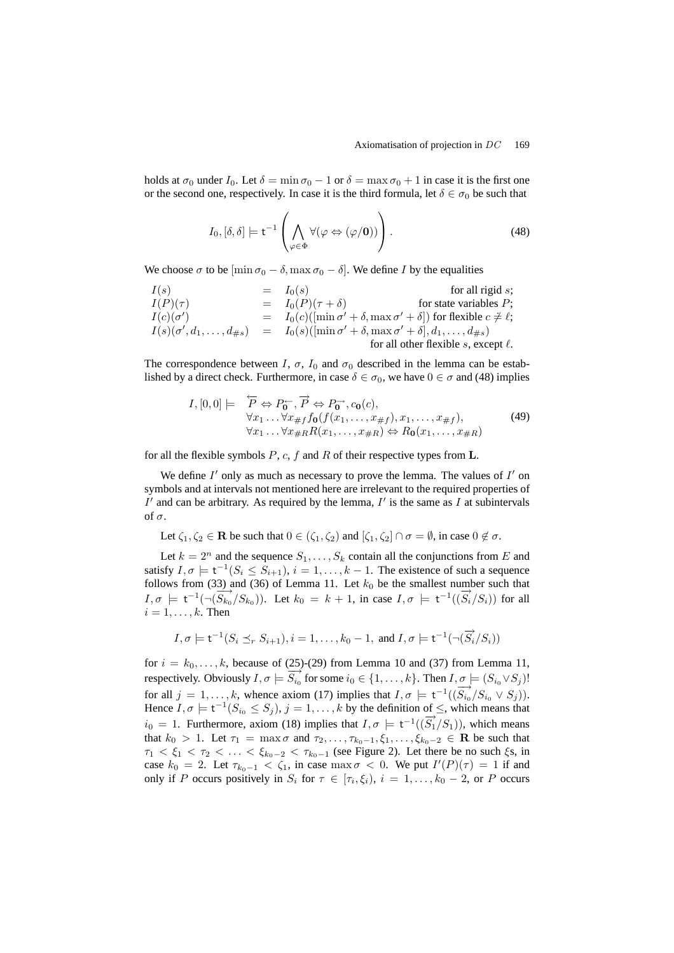holds at  $\sigma_0$  under  $I_0$ . Let  $\delta = \min \sigma_0 - 1$  or  $\delta = \max \sigma_0 + 1$  in case it is the first one or the second one, respectively. In case it is the third formula, let  $\delta \in \sigma_0$  be such that

$$
I_0, [\delta, \delta] \models \mathsf{t}^{-1} \left( \bigwedge_{\varphi \in \Phi} \forall (\varphi \Leftrightarrow (\varphi/\mathbf{0})) \right). \tag{48}
$$

We choose  $\sigma$  to be  $[\min \sigma_0 - \delta, \max \sigma_0 - \delta]$ . We define I by the equalities

$$
I(s) = I_0(s) \qquad \text{for all rigid } s;
$$
  
\n
$$
I(P)(\tau) = I_0(P)(\tau + \delta) \qquad \text{for state variables } P;
$$
  
\n
$$
I(c)(\sigma') = I_0(c)(\min \sigma' + \delta, \max \sigma' + \delta]) \text{ for flexible } c \neq \ell;
$$
  
\n
$$
I(s)(\sigma', d_1, \dots, d_{\#s}) = I_0(s)(\min \sigma' + \delta, \max \sigma' + \delta], d_1, \dots, d_{\#s}) \qquad \text{for all other flexible } s, \text{ except } \ell.
$$

The correspondence between I,  $\sigma$ ,  $I_0$  and  $\sigma_0$  described in the lemma can be established by a direct check. Furthermore, in case  $\delta \in \sigma_0$ , we have  $0 \in \sigma$  and (48) implies

$$
I, [0,0] \models \overleftarrow{P} \Leftrightarrow P_0^-, \overrightarrow{P} \Leftrightarrow P_0^-, c_0(c),
$$
  
\n
$$
\forall x_1 \dots \forall x_{\#f} f_0(f(x_1, \dots, x_{\#f}), x_1, \dots, x_{\#f}),
$$
  
\n
$$
\forall x_1 \dots \forall x_{\#R} R(x_1, \dots, x_{\#R}) \Leftrightarrow R_0(x_1, \dots, x_{\#R})
$$
  
\n(49)

for all the flexible symbols  $P$ ,  $c$ ,  $f$  and  $R$  of their respective types from  $L$ .

We define  $I'$  only as much as necessary to prove the lemma. The values of  $I'$  on symbols and at intervals not mentioned here are irrelevant to the required properties of  $I'$  and can be arbitrary. As required by the lemma,  $I'$  is the same as  $I$  at subintervals of σ.

Let  $\zeta_1, \zeta_2 \in \mathbf{R}$  be such that  $0 \in (\zeta_1, \zeta_2)$  and  $[\zeta_1, \zeta_2] \cap \sigma = \emptyset$ , in case  $0 \notin \sigma$ .

Let  $k = 2^n$  and the sequence  $S_1, \ldots, S_k$  contain all the conjunctions from E and satisfy  $I, \sigma \models t^{-1}(S_i \leq S_{i+1}), i = 1, \ldots, k-1$ . The existence of such a sequence follows from (33) and (36) of Lemma 11. Let  $k_0$  be the smallest number such that  $I, \sigma \models t^{-1}(\neg(\overline{S_{k_0}}/S_{k_0}))$ . Let  $k_0 = k + 1$ , in case  $I, \sigma \models t^{-1}((\overline{S_i}/S_i))$  for all  $i = 1, \ldots, k$ . Then

$$
I, \sigma \models t^{-1}(S_i \preceq_r S_{i+1}), i = 1, ..., k_0 - 1
$$
, and  $I, \sigma \models t^{-1}(\neg(\overrightarrow{S}_i/S_i))$ 

for  $i = k_0, \ldots, k$ , because of (25)-(29) from Lemma 10 and (37) from Lemma 11, respectively. Obviously  $I, \sigma \models S_{i_0}$  for some  $i_0 \in \{1, ..., k\}$ . Then  $I, \sigma \models (S_{i_0} \vee S_j)!$ for all  $j = 1, ..., k$ , whence axiom (17) implies that  $I, \sigma \models t^{-1}((\overrightarrow{S_{i_0}}/S_{i_0} \vee S_j)).$ Hence  $I, \sigma \models t^{-1}(S_{i_0} \leq S_j), j = 1, \ldots, k$  by the definition of  $\leq$ , which means that  $i_0 = 1$ . Furthermore, axiom (18) implies that  $I, \sigma \models t^{-1}((\overrightarrow{S_1}/S_1))$ , which means that  $k_0 > 1$ . Let  $\tau_1 = \max \sigma$  and  $\tau_2, \ldots, \tau_{k_0-1}, \xi_1, \ldots, \xi_{k_0-2} \in \mathbf{R}$  be such that  $\tau_1 < \xi_1 < \tau_2 < \ldots < \xi_{k_0-2} < \tau_{k_0-1}$  (see Figure 2). Let there be no such  $\xi$ s, in case  $k_0 = 2$ . Let  $\tau_{k_0-1} < \zeta_1$ , in case max  $\sigma < 0$ . We put  $I'(P)(\tau) = 1$  if and only if P occurs positively in  $S_i$  for  $\tau \in [\tau_i, \xi_i)$ ,  $i = 1, \dots, k_0 - 2$ , or P occurs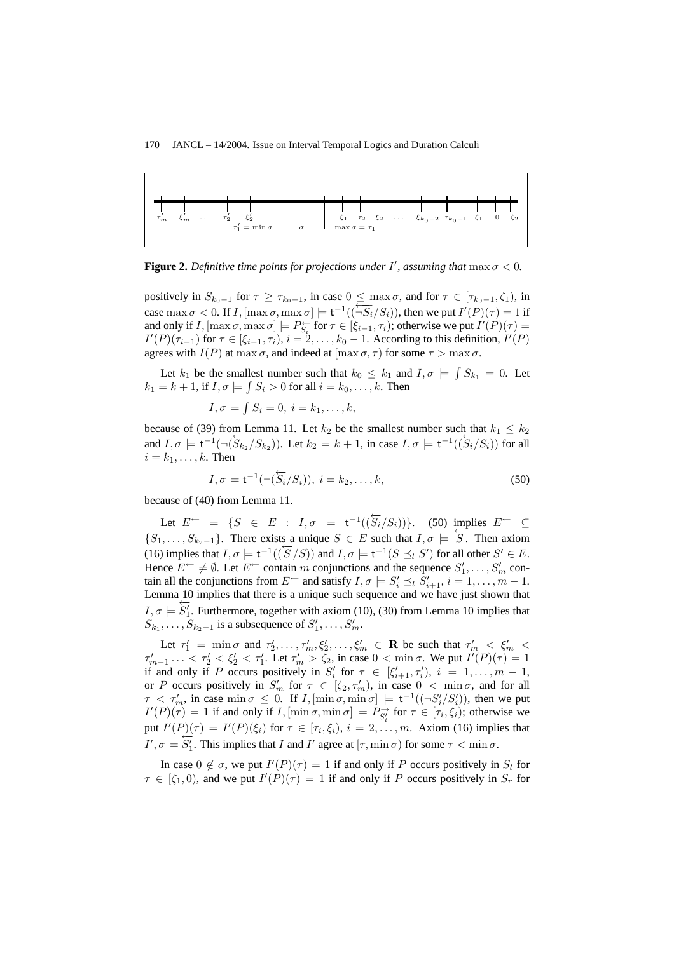

**Figure 2.** Definitive time points for projections under  $I'$ , assuming that  $\max \sigma < 0$ .

positively in  $S_{k_0-1}$  for  $\tau \geq \tau_{k_0-1}$ , in case  $0 \leq \max \sigma$ , and for  $\tau \in [\tau_{k_0-1}, \zeta_1)$ , in case max  $\sigma$  < 0. If I,  $[\max \sigma, \max \sigma]$   $\models$   $t^{-1}((\neg S_i/S_i))$ , then we put  $I'(P)(\tau) = 1$  if and only if  $I$ ,  $[\max \sigma, \max \sigma] \models P_{S_i}^{\leftarrow}$  for  $\tau \in [\xi_{i-1}, \tau_i)$ ; otherwise we put  $I'(P)(\tau) =$  $I'(P)(\tau_{i-1})$  for  $\tau \in [\xi_{i-1}, \tau_i)$ ,  $i = 2, \ldots, k_0 - 1$ . According to this definition,  $I'(P)$ agrees with  $I(P)$  at max  $\sigma$ , and indeed at  $[\max \sigma, \tau]$  for some  $\tau > \max \sigma$ .

Let  $k_1$  be the smallest number such that  $k_0 \leq k_1$  and  $I, \sigma \models \int S_{k_1} = 0$ . Let  $k_1 = k + 1$ , if  $I, \sigma \models \int S_i > 0$  for all  $i = k_0, \ldots, k$ . Then

$$
I, \sigma \models \int S_i = 0, \ i = k_1, \ldots, k,
$$

because of (39) from Lemma 11. Let  $k_2$  be the smallest number such that  $k_1 \leq k_2$ and  $I, \sigma \models t^{-1}(\neg(\overline{S_{k_2}}/S_{k_2}))$ . Let  $k_2 = k + 1$ , in case  $I, \sigma \models t^{-1}((\overline{S_i}/S_i))$  for all  $i = k_1, \ldots, k$ . Then

$$
I, \sigma \models \mathsf{t}^{-1}(\neg(\overleftarrow{S}_i/S_i)), \ i = k_2, \dots, k,\tag{50}
$$

because of (40) from Lemma 11.

Let  $E^{\leftarrow} = \{ S \in E : I, \sigma \models \mathsf{t}^{-1}((\overleftarrow{S}_i/S_i)) \}.$  (50) implies  $E^{\leftarrow} \subseteq$  ${S_1, \ldots, S_{k_2-1}}$ . There exists a unique  $S \in E$  such that  $I, \sigma \models S$ . Then axiom (16) implies that  $I, \sigma \models t^{-1}((S/S))$  and  $I, \sigma \models t^{-1}(S \preceq_t S')$  for all other  $S' \in E$ . Hence  $E^{\leftarrow} \neq \emptyset$ . Let  $E^{\leftarrow}$  contain m conjunctions and the sequence  $S'_1, \ldots, S'_m$  contain all the conjunctions from  $E^{\leftarrow}$  and satisfy  $I, \sigma \models S'_i \preceq_l S'_{i+1}, i = 1, \ldots, m-1$ . Lemma 10 implies that there is a unique such sequence and we have just shown that  $I, \sigma \models S'_1$ . Furthermore, together with axiom (10), (30) from Lemma 10 implies that  $S_{k_1}, \ldots, S_{k_2-1}$  is a subsequence of  $S'_1, \ldots, S'_m$ .

Let  $\tau'_1$  = min  $\sigma$  and  $\tau'_2, \ldots, \tau'_m, \xi'_2, \ldots, \xi'_m$   $\in$  R be such that  $\tau'_m < \xi'_m$  $\tau'_{m-1}$ ... <  $\tau'_2$  <  $\xi'_2$  <  $\tau'_1$ . Let  $\tau'_m > \zeta_2$ , in case  $0 < \min \sigma$ . We put  $I'(P)(\tau) = 1$ if and only if P occurs positively in  $S'_i$  for  $\tau \in [\xi'_{i+1}, \tau'_i), i = 1, \ldots, m-1$ , or P occurs positively in  $S'_m$  for  $\tau \in [\zeta_2, \tau'_m)$ , in case  $0 < \min \sigma$ , and for all  $\tau < \tau'_m$ , in case min  $\sigma \leq 0$ . If  $I$ ,  $[\min \sigma, \min \sigma] \models t^{-1}((\neg S'_i/S'_i))$ , then we put  $I'(P)(\tau) = 1$  if and only if  $I$ ,  $[\min \sigma, \min \sigma] \models P_{S'_i}$  for  $\tau \in [\tau_i, \xi_i)$ ; otherwise we put  $I'(P)(\tau) = I'(P)(\xi_i)$  for  $\tau \in [\tau_i, \xi_i)$ ,  $i = 2, \ldots, m$ . Axiom (16) implies that  $I', \sigma \models S'_1$ . This implies that I and I' agree at  $[\tau, \min \sigma)$  for some  $\tau < \min \sigma$ .

In case  $0 \notin \sigma$ , we put  $I'(P)(\tau) = 1$  if and only if P occurs positively in  $S_l$  for  $\tau \in [\zeta_1, 0)$ , and we put  $I'(P)(\tau) = 1$  if and only if P occurs positively in  $S_r$  for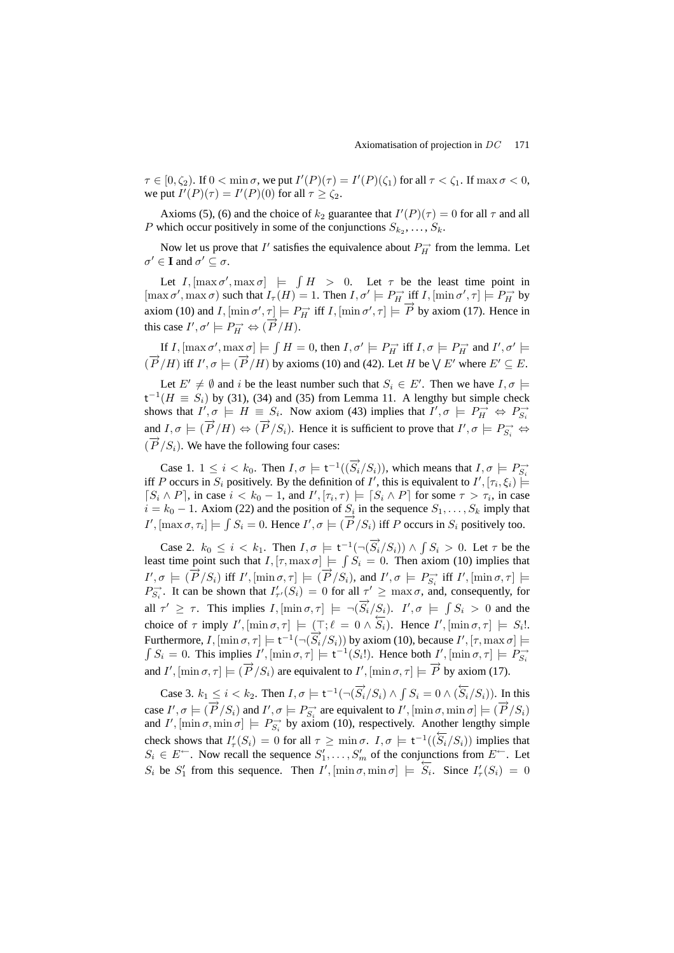$\tau \in [0, \zeta_2)$ . If  $0 < \min \sigma$ , we put  $I'(P)(\tau) = I'(P)(\zeta_1)$  for all  $\tau < \zeta_1$ . If  $\max \sigma < 0$ , we put  $I'(P)(\tau) = I'(P)(0)$  for all  $\tau \ge \zeta_2$ .

Axioms (5), (6) and the choice of  $k_2$  guarantee that  $I'(P)(\tau) = 0$  for all  $\tau$  and all P which occur positively in some of the conjunctions  $S_{k_2}, \ldots, S_k$ .

Now let us prove that  $I'$  satisfies the equivalence about  $P_H^{\rightarrow}$  from the lemma. Let  $\sigma' \in \mathbf{I}$  and  $\sigma' \subseteq \sigma$ .

Let  $I$ ,  $[\max \sigma', \max \sigma] \models \int H > 0$ . Let  $\tau$  be the least time point in  $[\max \sigma', \max \sigma)$  such that  $I_{\tau}(H) = 1$ . Then  $I, \sigma' \models P_H^{\rightarrow}$  iff  $I, [\min \sigma', \tau] \models P_H^{\rightarrow}$  by axiom (10) and I,  $[\min \sigma', \tau] \models P_H^-$  iff I,  $[\min \sigma', \tau] \models \vec{P}$  by axiom (17). Hence in this case  $I', \sigma' \models P_H^{\rightarrow} \Leftrightarrow (\overrightarrow{P}/H)$ .

If I,  $[\max \sigma', \max \sigma] \models \int H = 0$ , then  $I, \sigma' \models P_H^-$  iff  $I, \sigma \models P_H^-$  and  $I', \sigma' \models$  $(\vec{P}/H)$  iff  $I', \sigma \models (\vec{P}/H)$  by axioms (10) and (42). Let H be  $\bigvee E'$  where  $E' \subseteq E$ .

Let  $E' \neq \emptyset$  and i be the least number such that  $S_i \in E'$ . Then we have  $I, \sigma \models$  $t^{-1}(H \equiv S_i)$  by (31), (34) and (35) from Lemma 11. A lengthy but simple check shows that  $I', \sigma \models H \equiv S_i$ . Now axiom (43) implies that  $I', \sigma \models P_H \Leftrightarrow P_{S_i}$ and  $I, \sigma \models (\overrightarrow{P}/H) \Leftrightarrow (\overrightarrow{P}/S_i)$ . Hence it is sufficient to prove that  $I', \sigma \models P_{S_i} \Leftrightarrow$  $(\overrightarrow{P}/S_i)$ . We have the following four cases:

Case 1.  $1 \leq i < k_0$ . Then  $I, \sigma \models t^{-1}((\overrightarrow{S_i}/S_i))$ , which means that  $I, \sigma \models P_{S_i}^{\rightarrow}$ <br>iff P occurs in  $S_i$  positively. By the definition of I', this is equivalent to  $I', [\tau_i, \xi_i) \models$  $[S_i \wedge P]$ , in case  $i < k_0 - 1$ , and  $I', [\tau_i, \tau) \models [S_i \wedge P]$  for some  $\tau > \tau_i$ , in case  $i = k_0 - 1$ . Axiom (22) and the position of  $S_i$  in the sequence  $S_1, \ldots, S_k$  imply that  $I'$ ,  $[\max \sigma, \tau_i] \models \int S_i = 0$ . Hence  $I', \sigma \models (\overrightarrow{P}/S_i)$  iff P occurs in  $S_i$  positively too.

Case 2.  $k_0 \leq i < k_1$ . Then  $I, \sigma \models t^{-1}(\neg(\overrightarrow{S}_i/S_i)) \wedge \int S_i > 0$ . Let  $\tau$  be the least time point such that  $I, [\tau, \max \sigma] \models \int S_i = 0$ . Then axiom (10) implies that  $I',\sigma \models (\overrightarrow{P}/S_i)$  iff  $I',\text{[min }\sigma,\tau] \models (\overrightarrow{P}/S_i)$ , and  $I',\sigma \models P_{S_i}^{\rightarrow}$  iff  $I',\text{[min }\sigma,\tau] \models$  $P_{S_i}^{\rightarrow}$ . It can be shown that  $I'_{\tau}(S_i) = 0$  for all  $\tau' \ge \max \sigma$ , and, consequently, for all  $\tau' \geq \tau$ . This implies  $I, [\min \sigma, \tau] \models \neg (\overrightarrow{S_i}/S_i)$ .  $I', \sigma \models \int S_i > 0$  and the choice of  $\tau$  imply  $I'$ ,  $[\min \sigma, \tau] \models (\top; \ell = 0 \land \overline{S_i})$ . Hence  $I'$ ,  $[\min \sigma, \tau] \models S_i!$ . Furthermore,  $I, [\min \sigma, \tau] \models t^{-1}(\neg(\overrightarrow{S_i}/S_i))$  by axiom (10), because  $I', [\tau, \max \sigma] \models$  $\int S_i = 0$ . This implies  $I', [\min \sigma, \tau] \models t^{-1}(S_i!)$ . Hence both  $I', [\min \sigma, \tau] \models P_{S_i}$ and I',  $[\min \sigma, \tau] \models (\vec{P}/S_i)$  are equivalent to I',  $[\min \sigma, \tau] \models \vec{P}$  by axiom (17).

Case 3.  $k_1 \leq i < k_2$ . Then  $I, \sigma \models \mathsf{t}^{-1}(\neg(\overrightarrow{S_i}/S_i) \land \int S_i = 0 \land (\overleftarrow{S_i}/S_i))$ . In this case  $I', \sigma \models (\overrightarrow{P}/S_i)$  and  $I', \sigma \models P_{S_i}^{\rightarrow}$  are equivalent to  $I',$  [min  $\sigma$ , min  $\sigma$ ]  $\models (\overrightarrow{P}/S_i)$ and I',  $[\min \sigma, \min \sigma] \models P_{S_i}^{\rightarrow}$  by axiom (10), respectively. Another lengthy simple check shows that  $I'_{\tau}(S_i) = 0$  for all  $\tau \ge \min \sigma$ .  $I, \sigma \models t^{-1}((\overleftarrow{S_i}/S_i))$  implies that  $S_i \in E^{\leftarrow}$ . Now recall the sequence  $S'_1, \ldots, S'_m$  of the conjunctions from  $E^{\leftarrow}$ . Let  $S_i$  be  $S'_1$  from this sequence. Then  $I'$ ,  $[\min \sigma, \min \sigma] \models \overline{S_i}$ . Since  $I'_T(S_i) = 0$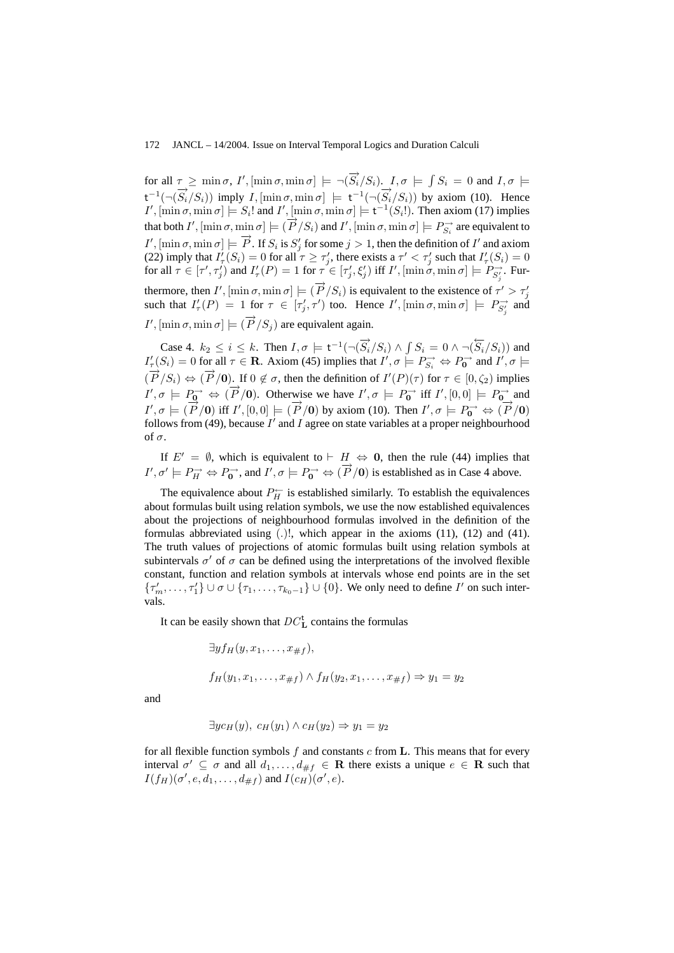for all  $\tau \ge \min \sigma$ ,  $I'$ ,  $[\min \sigma, \min \sigma] \models \neg (\overrightarrow{S}_i/S_i)$ .  $I, \sigma \models \int S_i = 0$  and  $I, \sigma \models$  $t^{-1}(\neg(\overrightarrow{S_i/S_i}))$  imply I,  $[\min \sigma, \min \sigma]$   $\models t^{-1}(\neg(\overrightarrow{S_i/S_i}))$  by axiom (10). Hence  $I', [\min \sigma, \min \sigma] \models S_i!$  and  $I', [\min \sigma, \min \sigma] \models t^{-1}(S_i!).$  Then axiom (17) implies that both I',  $[\min \sigma, \min \sigma] \models (\overrightarrow{P}/S_i)$  and I',  $[\min \sigma, \min \sigma] \models P_{S_i}$  are equivalent to  $I'$ ,  $[\min \sigma, \min \sigma] \models \vec{P}$ . If  $S_i$  is  $S'_j$  for some  $j > 1$ , then the definition of  $I'$  and axiom (22) imply that  $I'_{\tau}(S_i) = 0$  for all  $\tau \geq \tau'_j$ , there exists a  $\tau' < \tau'_j$  such that  $I'_{\tau}(S_i) = 0$ for all  $\tau \in [\tau', \tau'_j)$  and  $I'_\tau(P) = 1$  for  $\tau \in [\tau'_j, \xi'_j)$  iff  $I', [\min \sigma, \min \sigma] \models P_{S'_j}^{\rightarrow}$ . Furthermore, then  $I'$ ,  $[\min \sigma, \min \sigma] \models (\overrightarrow{P}/S_i)$  is equivalent to the existence of  $\tau' > \tau'_j$ <br>such that  $I'_{\tau}(P) = 1$  for  $\tau \in [\tau'_j, \tau')$  too. Hence  $I'$ ,  $[\min \sigma, \min \sigma] \models P_{S'_j}$  and *I'*,  $[\min \sigma, \min \sigma] \models (\overrightarrow{P}/S_j)$  are equivalent again.

Case 4.  $k_2 \le i \le k$ . Then  $I, \sigma \models t^{-1}(\neg(\overrightarrow{S}_i/S_i) \wedge \int S_i = 0 \wedge \neg(\overleftarrow{S}_i/S_i))$  and  $I'_{\tau}(S_i) = 0$  for all  $\tau \in \mathbf{R}$ . Axiom (45) implies that  $I', \sigma \models P_{S_i} \Leftrightarrow P_{\mathbf{0}} \text{ and } I', \sigma \models$  $(\overrightarrow{P}/S_i) \Leftrightarrow (\overrightarrow{P}/0)$ . If  $0 \notin \sigma$ , then the definition of  $I'(P)(\tau)$  for  $\tau \in [0, \zeta_2)$  implies  $I', \sigma \models P_0^{\rightarrow} \Leftrightarrow (\overrightarrow{P}/0)$ . Otherwise we have  $I', \sigma \models P_0^{\rightarrow}$  iff  $I', [0,0] \models P_0^{\rightarrow}$  and  $I', \sigma \models (\overrightarrow{P}/0)$  iff  $I', [0, 0] \models (\overrightarrow{P}/0)$  by axiom (10). Then  $I', \sigma \models P_0 \Leftrightarrow (\overrightarrow{P}/0)$ follows from (49), because  $I'$  and  $I$  agree on state variables at a proper neighbourhood of σ.

If  $E' = \emptyset$ , which is equivalent to  $\vdash H \Leftrightarrow$  0, then the rule (44) implies that  $I', \sigma' \models P_H \Leftrightarrow P_0^-$ , and  $I', \sigma \models P_0^- \Leftrightarrow (\overrightarrow{P}/0)$  is established as in Case 4 above.

The equivalence about  $P_H^{\leftarrow}$  is established similarly. To establish the equivalences about formulas built using relation symbols, we use the now established equivalences about the projections of neighbourhood formulas involved in the definition of the formulas abbreviated using  $(.)!$ , which appear in the axioms  $(11)$ ,  $(12)$  and  $(41)$ . The truth values of projections of atomic formulas built using relation symbols at subintervals  $\sigma'$  of  $\sigma$  can be defined using the interpretations of the involved flexible constant, function and relation symbols at intervals whose end points are in the set  $\{\tau'_m,\ldots,\tau'_1\} \cup \sigma \cup \{\tau_1,\ldots,\tau_{k_0-1}\} \cup \{0\}$ . We only need to define I' on such intervals.

It can be easily shown that  $DC_{L}^{t}$  contains the formulas

$$
\exists y f_H(y, x_1, \dots, x_{\# f}),
$$
  

$$
f_H(y_1, x_1, \dots, x_{\# f}) \wedge f_H(y_2, x_1, \dots, x_{\# f}) \Rightarrow y_1 = y_2
$$

and

$$
\exists y c_H(y), \ c_H(y_1) \land c_H(y_2) \Rightarrow y_1 = y_2
$$

for all flexible function symbols  $f$  and constants  $c$  from  $L$ . This means that for every interval  $\sigma' \subseteq \sigma$  and all  $d_1, \ldots, d_{\# f} \in \mathbf{R}$  there exists a unique  $e \in \mathbf{R}$  such that  $I(f_H)(\sigma', e, d_1, \ldots, d_{\#f})$  and  $I(c_H)(\sigma', e)$ .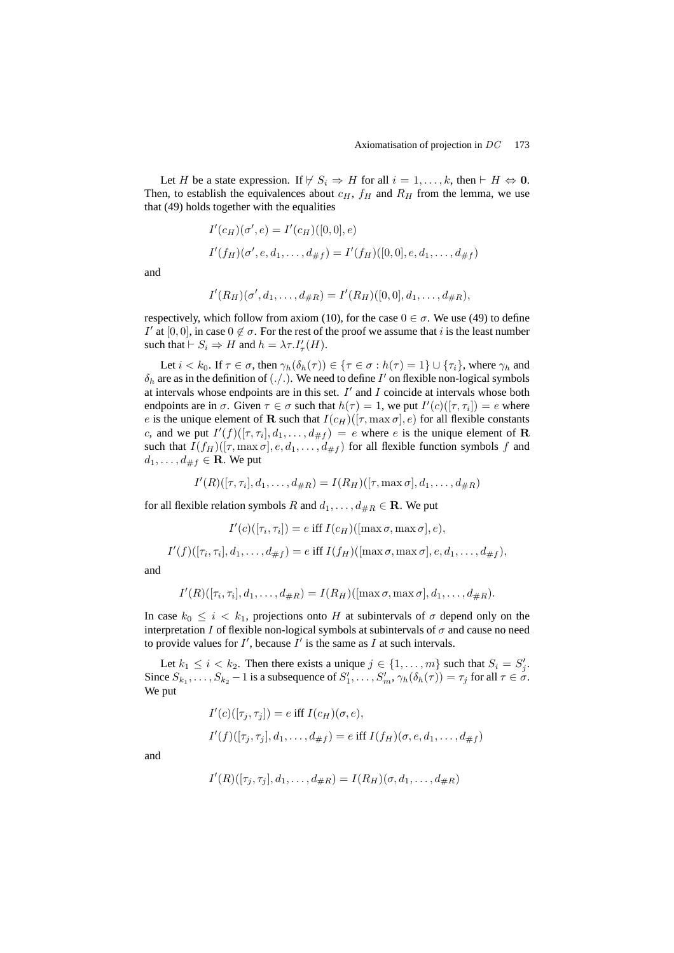Let H be a state expression. If  $\nvdash S_i \Rightarrow H$  for all  $i = 1, \ldots, k$ , then  $\vdash H \Leftrightarrow 0$ . Then, to establish the equivalences about  $c_H$ ,  $f_H$  and  $R_H$  from the lemma, we use that (49) holds together with the equalities

$$
I'(c_H)(\sigma', e) = I'(c_H)([0, 0], e)
$$
  

$$
I'(f_H)(\sigma', e, d_1, \dots, d_{\#f}) = I'(f_H)([0, 0], e, d_1, \dots, d_{\#f})
$$

and

$$
I'(R_H)(\sigma', d_1, \ldots, d_{\#R}) = I'(R_H)([0,0], d_1, \ldots, d_{\#R}),
$$

respectively, which follow from axiom (10), for the case  $0 \in \sigma$ . We use (49) to define I' at [0, 0], in case  $0 \notin \sigma$ . For the rest of the proof we assume that i is the least number such that  $\vdash S_i \Rightarrow H$  and  $h = \lambda \tau I'_\tau(H)$ .

Let  $i < k_0$ . If  $\tau \in \sigma$ , then  $\gamma_h(\delta_h(\tau)) \in {\tau \in \sigma : h(\tau) = 1} \cup {\tau_i}$ , where  $\gamma_h$  and  $\delta_h$  are as in the definition of (./.). We need to define I' on flexible non-logical symbols at intervals whose endpoints are in this set.  $I'$  and  $I$  coincide at intervals whose both endpoints are in  $\sigma$ . Given  $\tau \in \sigma$  such that  $h(\tau) = 1$ , we put  $I'(c)([\tau, \tau_i]) = e$  where e is the unique element of **R** such that  $I(c_H)([\tau, \max \sigma], e)$  for all flexible constants c, and we put  $I'(f)([\tau, \tau_i], d_1, \ldots, d_{\#f}) = e$  where e is the unique element of **R** such that  $I(f_H)([\tau, \max \sigma], e, d_1, \ldots, d_{\#f})$  for all flexible function symbols f and  $d_1,\ldots,d_{\#f}\in \mathbf{R}$ . We put

$$
I'(R)([\tau, \tau_i], d_1, \ldots, d_{\#R}) = I(R_H)([\tau, \max \sigma], d_1, \ldots, d_{\#R})
$$

for all flexible relation symbols R and  $d_1, \ldots, d_{\#R} \in \mathbb{R}$ . We put

$$
I'(c)([\tau_i, \tau_i]) = e \text{ iff } I(c_H)([\max \sigma, \max \sigma], e),
$$
  

$$
I'(f)([\tau_i, \tau_i], d_1, \dots, d_{\#f}) = e \text{ iff } I(f_H)([\max \sigma, \max \sigma], e, d_1, \dots, d_{\#f}),
$$

and

$$
I'(R)([\tau_i,\tau_i],d_1,\ldots,d_{\#R})=I(R_H)([\max \sigma,\max \sigma],d_1,\ldots,d_{\#R}).
$$

In case  $k_0 \leq i \leq k_1$ , projections onto H at subintervals of  $\sigma$  depend only on the interpretation I of flexible non-logical symbols at subintervals of  $\sigma$  and cause no need to provide values for  $I'$ , because  $I'$  is the same as  $I$  at such intervals.

Let  $k_1 \leq i < k_2$ . Then there exists a unique  $j \in \{1, ..., m\}$  such that  $S_i = S'_j$ . Since  $S_{k_1}, \ldots, S_{k_2} - 1$  is a subsequence of  $S'_1, \ldots, S'_m, \gamma_h(\delta_h(\tau)) = \tau_j$  for all  $\tau \in \sigma$ . We put

$$
I'(c)([\tau_j, \tau_j]) = e \text{ iff } I(c_H)(\sigma, e),
$$
  

$$
I'(f)([\tau_j, \tau_j], d_1, \dots, d_{\#f}) = e \text{ iff } I(f_H)(\sigma, e, d_1, \dots, d_{\#f})
$$

and

$$
I'(R)([\tau_j,\tau_j],d_1,\ldots,d_{\#R})=I(R_H)(\sigma,d_1,\ldots,d_{\#R})
$$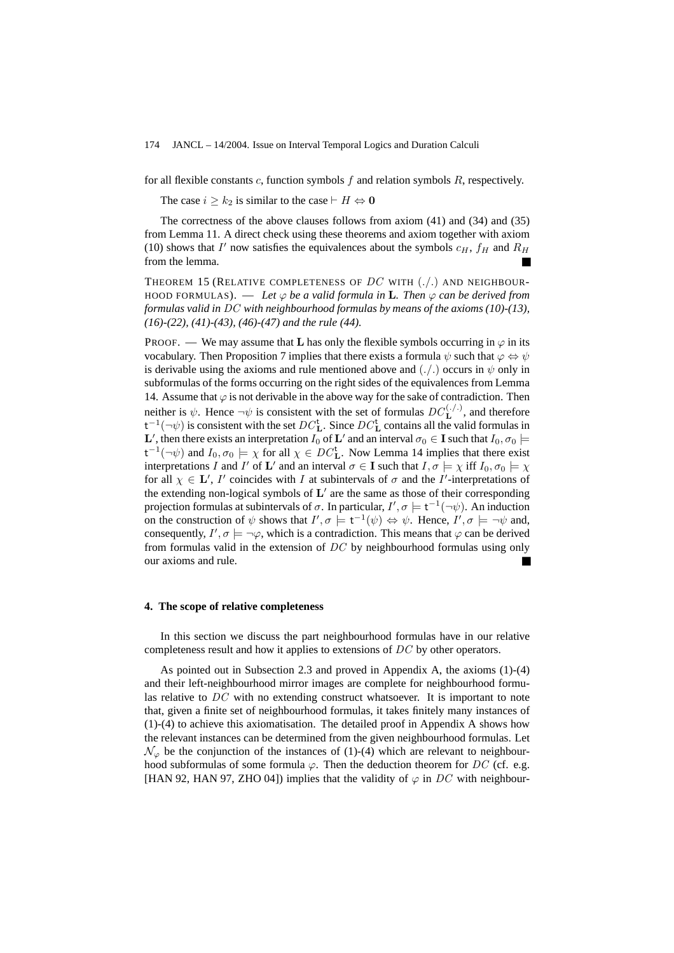for all flexible constants  $c$ , function symbols  $f$  and relation symbols  $R$ , respectively.

The case  $i \geq k_2$  is similar to the case  $\vdash H \Leftrightarrow \mathbf{0}$ 

The correctness of the above clauses follows from axiom (41) and (34) and (35) from Lemma 11. A direct check using these theorems and axiom together with axiom (10) shows that  $I'$  now satisfies the equivalences about the symbols  $c_H$ ,  $f_H$  and  $R_H$ from the lemma.

THEOREM 15 (RELATIVE COMPLETENESS OF  $DC$  with  $(./-)$  and neighbour-HOOD FORMULAS). — Let  $\varphi$  be a valid formula in **L**. Then  $\varphi$  can be derived from *formulas valid in* DC *with neighbourhood formulas by means of the axioms (10)-(13), (16)-(22), (41)-(43), (46)-(47) and the rule (44).*

PROOF. — We may assume that **L** has only the flexible symbols occurring in  $\varphi$  in its vocabulary. Then Proposition 7 implies that there exists a formula  $\psi$  such that  $\varphi \Leftrightarrow \psi$ is derivable using the axioms and rule mentioned above and  $(./.)$  occurs in  $\psi$  only in subformulas of the forms occurring on the right sides of the equivalences from Lemma 14. Assume that  $\varphi$  is not derivable in the above way for the sake of contradiction. Then neither is  $\psi$ . Hence  $\neg \psi$  is consistent with the set of formulas  $DC_{\mathbf{L}}^{(\cdot)}$ , and therefore  $t^{-1}(-\psi)$  is consistent with the set  $DC_{\text{L}}^t$ . Since  $DC_{\text{L}}^t$  contains all the valid formulas in L', then there exists an interpretation  $I_0$  of L' and an interval  $\sigma_0 \in I$  such that  $I_0,\sigma_0 \models$  $t^{-1}(-\psi)$  and  $I_0, \sigma_0 \models \chi$  for all  $\chi \in DC_{\mathbf{L}}^{\mathsf{t}}$ . Now Lemma 14 implies that there exist interpretations I and I' of L' and an interval  $\sigma \in I$  such that  $I, \sigma \models \chi$  iff  $I_0, \sigma_0 \models \chi$ for all  $\chi \in L'$ , I' coincides with I at subintervals of  $\sigma$  and the I'-interpretations of the extending non-logical symbols of  $L'$  are the same as those of their corresponding projection formulas at subintervals of σ. In particular,  $I', \sigma \models t^{-1}(\neg \psi)$ . An induction on the construction of  $\psi$  shows that  $I', \sigma \models t^{-1}(\psi) \Leftrightarrow \psi$ . Hence,  $I', \sigma \models \neg \psi$  and, consequently,  $I', \sigma \models \neg \varphi$ , which is a contradiction. This means that  $\varphi$  can be derived from formulas valid in the extension of DC by neighbourhood formulas using only our axioms and rule.

#### **4. The scope of relative completeness**

In this section we discuss the part neighbourhood formulas have in our relative completeness result and how it applies to extensions of DC by other operators.

As pointed out in Subsection 2.3 and proved in Appendix A, the axioms (1)-(4) and their left-neighbourhood mirror images are complete for neighbourhood formulas relative to DC with no extending construct whatsoever. It is important to note that, given a finite set of neighbourhood formulas, it takes finitely many instances of (1)-(4) to achieve this axiomatisation. The detailed proof in Appendix A shows how the relevant instances can be determined from the given neighbourhood formulas. Let  $\mathcal{N}_{\varphi}$  be the conjunction of the instances of (1)-(4) which are relevant to neighbourhood subformulas of some formula  $\varphi$ . Then the deduction theorem for DC (cf. e.g. [HAN 92, HAN 97, ZHO 04]) implies that the validity of  $\varphi$  in DC with neighbour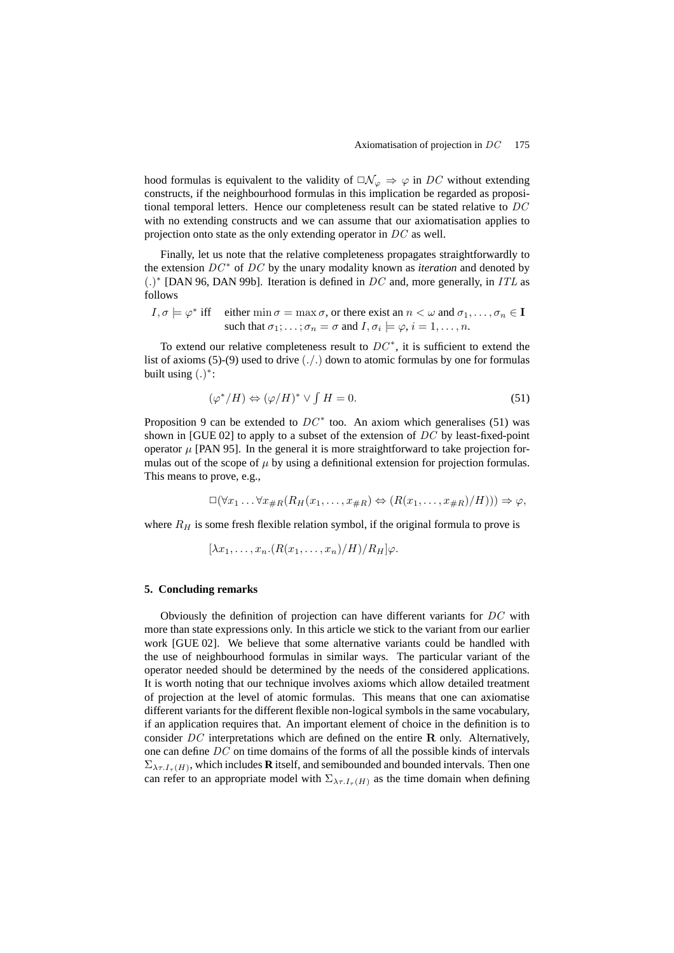hood formulas is equivalent to the validity of  $\square \mathcal{N}_{\varphi} \Rightarrow \varphi$  in DC without extending constructs, if the neighbourhood formulas in this implication be regarded as propositional temporal letters. Hence our completeness result can be stated relative to DC with no extending constructs and we can assume that our axiomatisation applies to projection onto state as the only extending operator in DC as well.

Finally, let us note that the relative completeness propagates straightforwardly to the extension  $DC^*$  of  $DC$  by the unary modality known as *iteration* and denoted by (.)\* [DAN 96, DAN 99b]. Iteration is defined in  $DC$  and, more generally, in  $ITL$  as follows

$$
I, \sigma \models \varphi^* \text{ iff } \text{ either } \min \sigma = \max \sigma, \text{ or there exist an } n < \omega \text{ and } \sigma_1, \dots, \sigma_n \in \mathbf{I} \text{ such that } \sigma_1; \dots; \sigma_n = \sigma \text{ and } I, \sigma_i \models \varphi, i = 1, \dots, n.
$$

To extend our relative completeness result to  $DC^*$ , it is sufficient to extend the list of axioms (5)-(9) used to drive  $(./.)$  down to atomic formulas by one for formulas built using  $(.)^*$ :

$$
(\varphi^*/H) \Leftrightarrow (\varphi/H)^* \vee \int H = 0.
$$
 (51)

Proposition 9 can be extended to  $DC^*$  too. An axiom which generalises (51) was shown in [GUE 02] to apply to a subset of the extension of DC by least-fixed-point operator  $\mu$  [PAN 95]. In the general it is more straightforward to take projection formulas out of the scope of  $\mu$  by using a definitional extension for projection formulas. This means to prove, e.g.,

 $\Box(\forall x_1 \ldots \forall x_{\#R}(R_H(x_1,\ldots,x_{\#R}) \Leftrightarrow (R(x_1,\ldots,x_{\#R})/H))) \Rightarrow \varphi,$ 

where  $R_H$  is some fresh flexible relation symbol, if the original formula to prove is

 $[\lambda x_1, \ldots, x_n. (R(x_1, \ldots, x_n)/H)/R_H]\varphi.$ 

#### **5. Concluding remarks**

Obviously the definition of projection can have different variants for  $DC$  with more than state expressions only. In this article we stick to the variant from our earlier work [GUE 02]. We believe that some alternative variants could be handled with the use of neighbourhood formulas in similar ways. The particular variant of the operator needed should be determined by the needs of the considered applications. It is worth noting that our technique involves axioms which allow detailed treatment of projection at the level of atomic formulas. This means that one can axiomatise different variants for the different flexible non-logical symbols in the same vocabulary, if an application requires that. An important element of choice in the definition is to consider  $DC$  interpretations which are defined on the entire  $R$  only. Alternatively, one can define DC on time domains of the forms of all the possible kinds of intervals  $\Sigma_{\lambda \tau, I_{\tau}(H)}$ , which includes **R** itself, and semibounded and bounded intervals. Then one can refer to an appropriate model with  $\Sigma_{\lambda \tau, I_{\tau}(H)}$  as the time domain when defining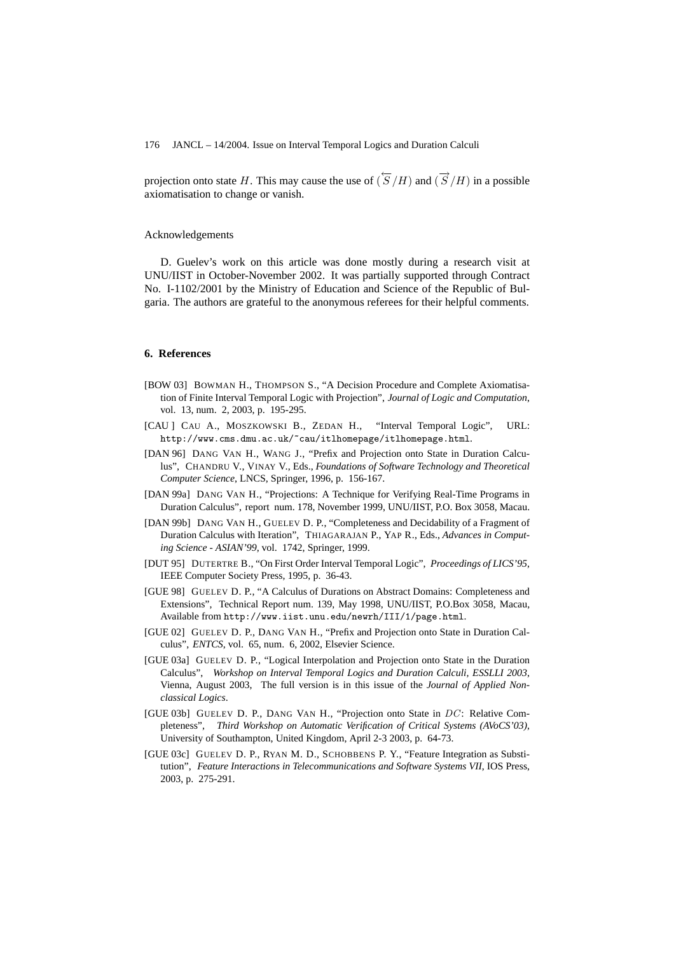projection onto state H. This may cause the use of  $(\overline{S}/H)$  and  $(\overrightarrow{S}/H)$  in a possible axiomatisation to change or vanish.

### Acknowledgements

D. Guelev's work on this article was done mostly during a research visit at UNU/IIST in October-November 2002. It was partially supported through Contract No. I-1102/2001 by the Ministry of Education and Science of the Republic of Bulgaria. The authors are grateful to the anonymous referees for their helpful comments.

## **6. References**

- [BOW 03] BOWMAN H., THOMPSON S., "A Decision Procedure and Complete Axiomatisation of Finite Interval Temporal Logic with Projection", *Journal of Logic and Computation*, vol. 13, num. 2, 2003, p. 195-295.
- [CAU ] CAU A., MOSZKOWSKI B., ZEDAN H., "Interval Temporal Logic", URL: http://www.cms.dmu.ac.uk/˜cau/itlhomepage/itlhomepage.html.
- [DAN 96] DANG VAN H., WANG J., "Prefix and Projection onto State in Duration Calculus", CHANDRU V., VINAY V., Eds., *Foundations of Software Technology and Theoretical Computer Science*, LNCS, Springer, 1996, p. 156-167.
- [DAN 99a] DANG VAN H., "Projections: A Technique for Verifying Real-Time Programs in Duration Calculus", report num. 178, November 1999, UNU/IIST, P.O. Box 3058, Macau.
- [DAN 99b] DANG VAN H., GUELEV D. P., "Completeness and Decidability of a Fragment of Duration Calculus with Iteration", THIAGARAJAN P., YAP R., Eds., *Advances in Computing Science - ASIAN'99*, vol. 1742, Springer, 1999.
- [DUT 95] DUTERTRE B., "On First Order Interval Temporal Logic", *Proceedings of LICS'95*, IEEE Computer Society Press, 1995, p. 36-43.
- [GUE 98] GUELEV D. P., "A Calculus of Durations on Abstract Domains: Completeness and Extensions", Technical Report num. 139, May 1998, UNU/IIST, P.O.Box 3058, Macau, Available from http://www.iist.unu.edu/newrh/III/1/page.html.
- [GUE 02] GUELEV D. P., DANG VAN H., "Prefix and Projection onto State in Duration Calculus", *ENTCS*, vol. 65, num. 6, 2002, Elsevier Science.
- [GUE 03a] GUELEV D. P., "Logical Interpolation and Projection onto State in the Duration Calculus", *Workshop on Interval Temporal Logics and Duration Calculi, ESSLLI 2003*, Vienna, August 2003, The full version is in this issue of the *Journal of Applied Nonclassical Logics*.
- [GUE 03b] GUELEV D. P., DANG VAN H., "Projection onto State in DC: Relative Completeness", *Third Workshop on Automatic Verification of Critical Systems (AVoCS'03)*, University of Southampton, United Kingdom, April 2-3 2003, p. 64-73.
- [GUE 03c] GUELEV D. P., RYAN M. D., SCHOBBENS P. Y., "Feature Integration as Substitution", *Feature Interactions in Telecommunications and Software Systems VII*, IOS Press, 2003, p. 275-291.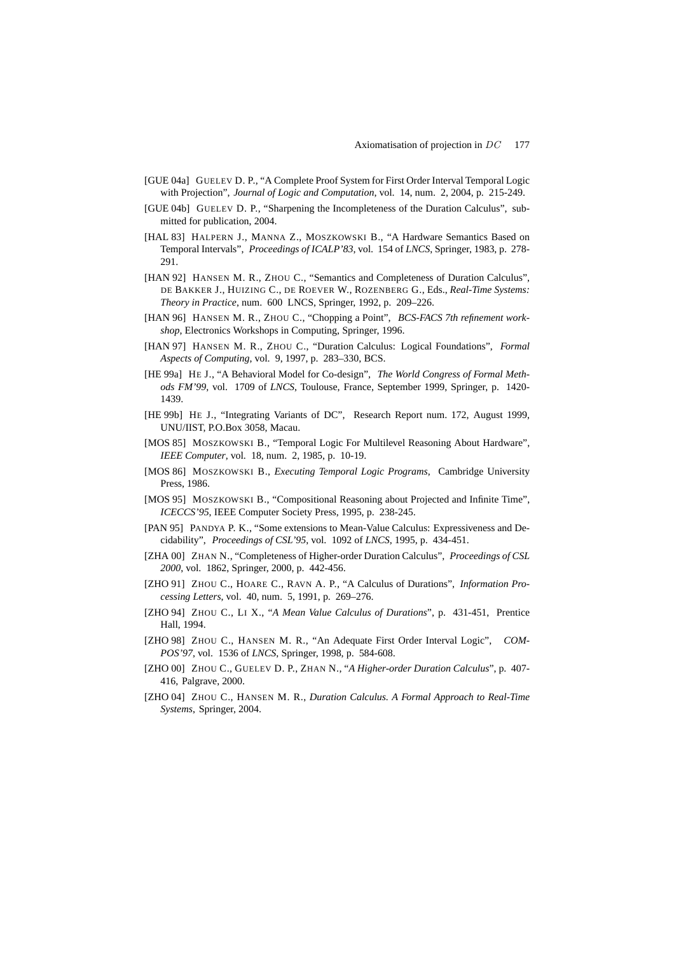- [GUE 04a] GUELEV D. P., "A Complete Proof System for First Order Interval Temporal Logic with Projection", *Journal of Logic and Computation*, vol. 14, num. 2, 2004, p. 215-249.
- [GUE 04b] GUELEV D. P., "Sharpening the Incompleteness of the Duration Calculus", submitted for publication, 2004.
- [HAL 83] HALPERN J., MANNA Z., MOSZKOWSKI B., "A Hardware Semantics Based on Temporal Intervals", *Proceedings of ICALP'83*, vol. 154 of *LNCS*, Springer, 1983, p. 278- 291.
- [HAN 92] HANSEN M. R., ZHOU C., "Semantics and Completeness of Duration Calculus", DE BAKKER J., HUIZING C., DE ROEVER W., ROZENBERG G., Eds., *Real-Time Systems: Theory in Practice*, num. 600 LNCS, Springer, 1992, p. 209–226.
- [HAN 96] HANSEN M. R., ZHOU C., "Chopping a Point", *BCS-FACS 7th refinement workshop*, Electronics Workshops in Computing, Springer, 1996.
- [HAN 97] HANSEN M. R., ZHOU C., "Duration Calculus: Logical Foundations", *Formal Aspects of Computing*, vol. 9, 1997, p. 283–330, BCS.
- [HE 99a] HE J., "A Behavioral Model for Co-design", *The World Congress of Formal Methods FM'99*, vol. 1709 of *LNCS*, Toulouse, France, September 1999, Springer, p. 1420- 1439.
- [HE 99b] HE J., "Integrating Variants of DC", Research Report num. 172, August 1999, UNU/IIST, P.O.Box 3058, Macau.
- [MOS 85] MOSZKOWSKI B., "Temporal Logic For Multilevel Reasoning About Hardware", *IEEE Computer*, vol. 18, num. 2, 1985, p. 10-19.
- [MOS 86] MOSZKOWSKI B., *Executing Temporal Logic Programs*, Cambridge University Press, 1986.
- [MOS 95] MOSZKOWSKI B., "Compositional Reasoning about Projected and Infinite Time", *ICECCS'95*, IEEE Computer Society Press, 1995, p. 238-245.
- [PAN 95] PANDYA P. K., "Some extensions to Mean-Value Calculus: Expressiveness and Decidability", *Proceedings of CSL'95*, vol. 1092 of *LNCS*, 1995, p. 434-451.
- [ZHA 00] ZHAN N., "Completeness of Higher-order Duration Calculus", *Proceedings of CSL 2000*, vol. 1862, Springer, 2000, p. 442-456.
- [ZHO 91] ZHOU C., HOARE C., RAVN A. P., "A Calculus of Durations", *Information Processing Letters*, vol. 40, num. 5, 1991, p. 269–276.
- [ZHO 94] ZHOU C., LI X., "*A Mean Value Calculus of Durations*", p. 431-451, Prentice Hall, 1994.
- [ZHO 98] ZHOU C., HANSEN M. R., "An Adequate First Order Interval Logic", *COM-POS'97*, vol. 1536 of *LNCS*, Springer, 1998, p. 584-608.
- [ZHO 00] ZHOU C., GUELEV D. P., ZHAN N., "*A Higher-order Duration Calculus*", p. 407- 416, Palgrave, 2000.
- [ZHO 04] ZHOU C., HANSEN M. R., *Duration Calculus. A Formal Approach to Real-Time Systems*, Springer, 2004.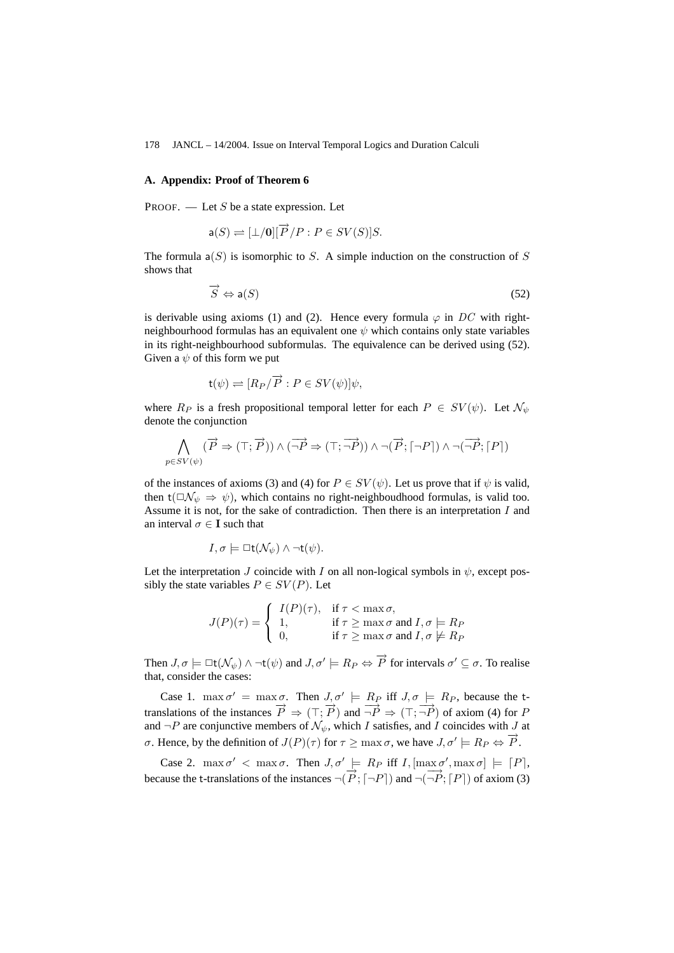#### **A. Appendix: Proof of Theorem 6**

 $p$ 

PROOF.  $\overline{\phantom{a}}$  Let S be a state expression. Let

$$
\mathsf{a}(S) \rightleftharpoons [\perp/\mathbf{0}][\overrightarrow{P}/P : P \in SV(S)]S.
$$

The formula  $a(S)$  is isomorphic to S. A simple induction on the construction of S shows that

$$
\overrightarrow{S} \Leftrightarrow \mathsf{a}(S) \tag{52}
$$

is derivable using axioms (1) and (2). Hence every formula  $\varphi$  in DC with rightneighbourhood formulas has an equivalent one  $\psi$  which contains only state variables in its right-neighbourhood subformulas. The equivalence can be derived using (52). Given a  $\psi$  of this form we put

$$
\mathsf{t}(\psi) \rightleftharpoons [R_P/\overrightarrow{P} : P \in SV(\psi)]\psi,
$$

where  $R_P$  is a fresh propositional temporal letter for each  $P \in SV(\psi)$ . Let  $\mathcal{N}_{\psi}$ denote the conjunction

$$
\bigwedge_{\substack{\in S V(\psi)}} (\overrightarrow{P} \Rightarrow (\top; \overrightarrow{P})) \land (\overrightarrow{\neg P} \Rightarrow (\top; \overrightarrow{\neg P})) \land \neg (\overrightarrow{P}; [\neg P]) \land \neg (\overrightarrow{\neg P}; [P])
$$

of the instances of axioms (3) and (4) for  $P \in SV(\psi)$ . Let us prove that if  $\psi$  is valid, then  $t(\Box \mathcal{N}_{\psi} \Rightarrow \psi)$ , which contains no right-neighboudhood formulas, is valid too. Assume it is not, for the sake of contradiction. Then there is an interpretation  $I$  and an interval  $\sigma \in I$  such that

$$
I, \sigma \models \Box \mathsf{t}(\mathcal{N}_{\psi}) \land \neg \mathsf{t}(\psi).
$$

Let the interpretation J coincide with I on all non-logical symbols in  $\psi$ , except possibly the state variables  $P \in SV(P)$ . Let

$$
J(P)(\tau) = \begin{cases} I(P)(\tau), & \text{if } \tau < \max \sigma, \\ 1, & \text{if } \tau \ge \max \sigma \text{ and } I, \sigma \models R_P \\ 0, & \text{if } \tau \ge \max \sigma \text{ and } I, \sigma \not\models R_P \end{cases}
$$

Then  $J, \sigma \models \Box \mathsf{t}(\mathcal{N}_{\psi}) \land \neg \mathsf{t}(\psi)$  and  $J, \sigma' \models R_P \Leftrightarrow \overrightarrow{P}$  for intervals  $\sigma' \subseteq \sigma$ . To realise that, consider the cases:

Case 1. max  $\sigma' = \max \sigma$ . Then  $J, \sigma' \models R_P$  iff  $J, \sigma \models R_P$ , because the ttranslations of the instances  $\overrightarrow{P}$   $\Rightarrow$   $(\overrightarrow{+}, \overrightarrow{P})$  and  $\overrightarrow{-P}$   $\Rightarrow$   $(\overrightarrow{+}, \overrightarrow{-P})$  of axiom (4) for P and  $\neg P$  are conjunctive members of  $\mathcal{N}_{\psi}$ , which I satisfies, and I coincides with J at *σ*. Hence, by the definition of  $J(P)(τ)$  for  $τ ≥ max σ$ , we have  $J, σ' |= R_P ⇔ \overrightarrow{P}$ .

Case 2. max  $\sigma' < \max \sigma$ . Then  $J, \sigma' \models R_P \text{ iff } I, [\max \sigma', \max \sigma] \models [P]$ , because the t-translations of the instances  $\neg(\overrightarrow{P}; \lceil \neg P \rceil)$  and  $\neg(\overrightarrow{P}; \lceil P \rceil)$  of axiom (3)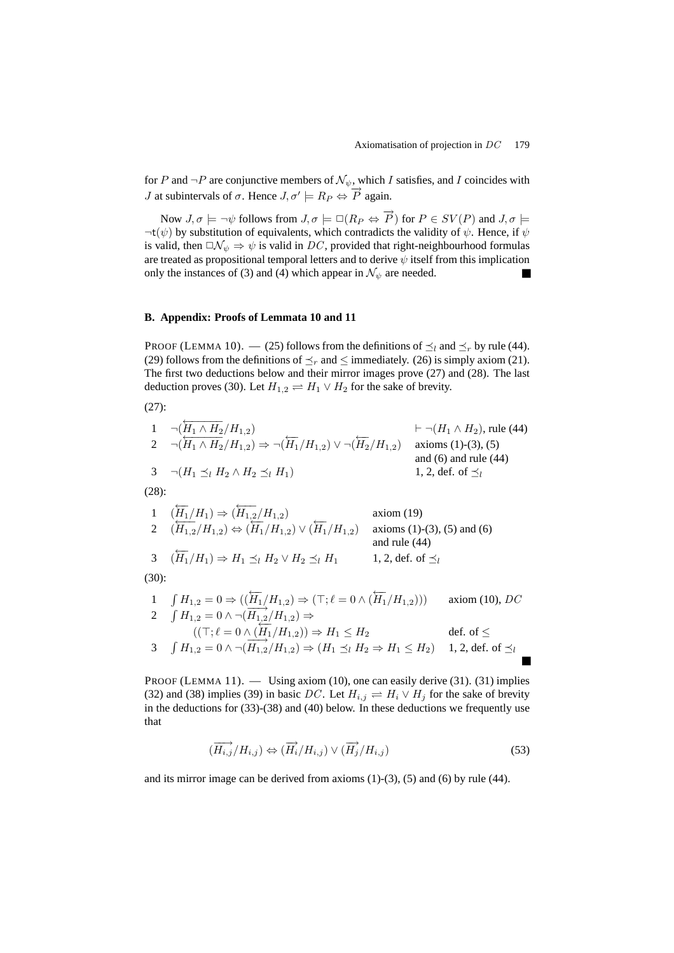for P and  $\neg P$  are conjunctive members of  $\mathcal{N}_{\psi}$ , which I satisfies, and I coincides with *J* at subintervals of  $\sigma$ . Hence  $J, \sigma' \models R_P \Leftrightarrow \overrightarrow{P}$  again.

Now  $J, \sigma \models \neg \psi$  follows from  $J, \sigma \models \Box(R_P \Leftrightarrow \overrightarrow{P})$  for  $P \in SV(P)$  and  $J, \sigma \models \Box$  $\neg$ t $(\psi)$  by substitution of equivalents, which contradicts the validity of  $\psi$ . Hence, if  $\psi$ is valid, then  $\Box \mathcal{N}_{\psi} \Rightarrow \psi$  is valid in DC, provided that right-neighbourhood formulas are treated as propositional temporal letters and to derive  $\psi$  itself from this implication only the instances of (3) and (4) which appear in  $\mathcal{N}_{\psi}$  are needed.

## **B. Appendix: Proofs of Lemmata 10 and 11**

PROOF (LEMMA 10). — (25) follows from the definitions of  $\prec_l$  and  $\prec_r$  by rule (44). (29) follows from the definitions of  $\leq_r$  and  $\leq$  immediately. (26) is simply axiom (21). The first two deductions below and their mirror images prove (27) and (28). The last deduction proves (30). Let  $H_{1,2} \rightleftharpoons H_1 \vee H_2$  for the sake of brevity.

(27):

1 
$$
\neg(\overline{H_1 \wedge H_2}/H_{1,2})
$$
  
\n2  $\neg(\overline{H_1 \wedge H_2}/H_{1,2}) \Rightarrow \neg(\overline{H_1}/H_{1,2}) \vee \neg(\overline{H_2}/H_{1,2})$  axioms (1)-(3), (5)  
\n3  $\neg(H_1 \preceq_L H_2 \wedge H_2 \preceq_L H_1)$   
\n(28):  
\n1  $(\overline{H_1}/H_1) \Rightarrow (\overline{H_{1,2}}/H_{1,2})$   
\n2  $(\overline{H_{1,2}}/H_{1,2}) \Leftrightarrow (\overline{H_1}/H_{1,2}) \vee (\overline{H_1}/H_{1,2})$  axioms (1)-(3), (5) and (6)  
\n3  $\neg(H_1 \preceq_L H_2 \wedge H_2 \preceq_L H_1)$   
\n(28):  
\n3  $\neg(H_1 \preceq_L H_2 \wedge H_2 \preceq_L H_1)$   
\n4: (28):  
\n5: (29):  
\n6: (30) and (19)  
\n7: (44) and (44)

3 
$$
(\overleftarrow{H_1}/H_1) \Rightarrow H_1 \preceq_l H_2 \vee H_2 \preceq_l H_1
$$
 1, 2, def. of  $\preceq_l$ 

(30):

1 
$$
\int H_{1,2} = 0 \Rightarrow ((\overleftarrow{H_1}/H_{1,2}) \Rightarrow (\top; \ell = 0 \land (\overleftarrow{H_1}/H_{1,2})))
$$
 axiom (10), *DC*  
\n2  $\int H_{1,2} = 0 \land \neg(\overrightarrow{H_{1,2}}/H_{1,2}) \Rightarrow$   
\n $((\top; \ell = 0 \land (\overleftarrow{H_1}/H_{1,2})) \Rightarrow H_1 \leq H_2$ def. of  $\leq$ 

3 
$$
\int H_{1,2} = 0 \land \neg(\overline{H_{1,2}}/H_{1,2}) \Rightarrow (H_1 \preceq_l H_2 \Rightarrow H_1 \leq H_2)
$$
 1, 2, def. of  $\preceq_l$ 

PROOF (LEMMA 11). — Using axiom (10), one can easily derive (31). (31) implies (32) and (38) implies (39) in basic DC. Let  $H_{i,j} \rightleftharpoons H_i \vee H_j$  for the sake of brevity in the deductions for (33)-(38) and (40) below. In these deductions we frequently use that

$$
(\overrightarrow{H_{i,j}}/H_{i,j}) \Leftrightarrow (\overrightarrow{H_i}/H_{i,j}) \vee (\overrightarrow{H_j}/H_{i,j})
$$
\n(53)

■

and its mirror image can be derived from axioms  $(1)-(3)$ ,  $(5)$  and  $(6)$  by rule  $(44)$ .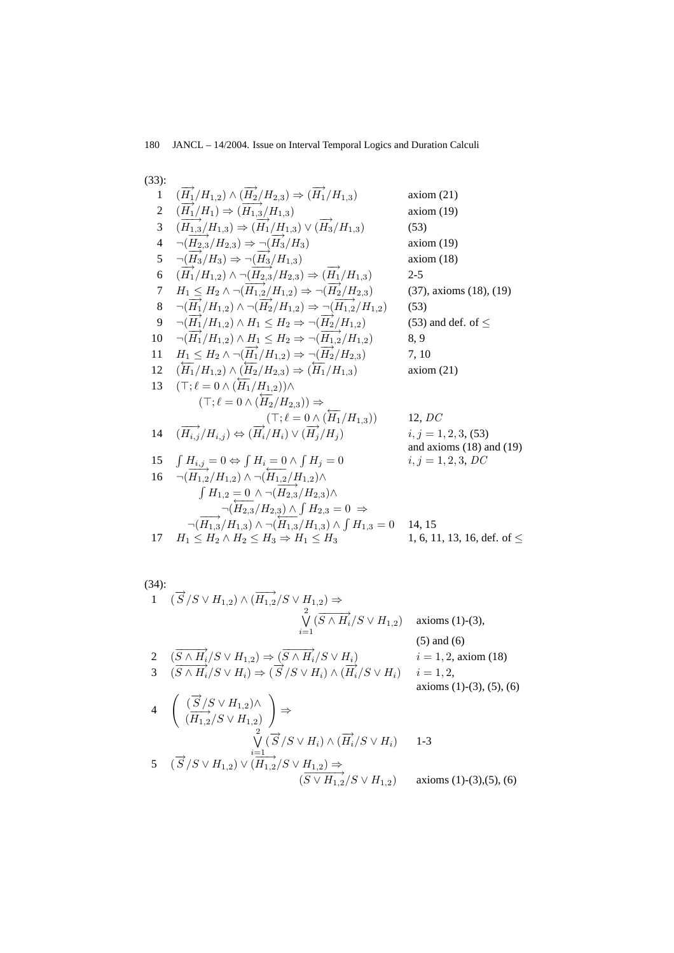33):  
\n1 
$$
(\overrightarrow{H_1}/H_{1,2}) \wedge (\overrightarrow{H_2}/H_{2,3}) \Rightarrow (\overrightarrow{H_1}/H_{1,3})
$$
 axiom (21)  
\n2  $(\overrightarrow{H_1}/H_1) \Rightarrow (\overrightarrow{H_1,3}/H_{1,3})$  axiom (19)  
\n3  $(\overrightarrow{H_{1,3}}/H_{1,3}) \Rightarrow (\overrightarrow{H_1}/H_{1,3}) \vee (\overrightarrow{H_3}/H_{1,3})$  (53)  
\n4  $\neg(\overrightarrow{H_2,3}/H_{2,3}) \Rightarrow \neg(\overrightarrow{H_3}/H_3)$  axiom (19)  
\n5  $\neg(\overrightarrow{H_3}/H_3) \Rightarrow \neg(\overrightarrow{H_3}/H_3)$  axiom (18)  
\n6  $(\overrightarrow{H_1}/H_{1,2}) \wedge \neg(\overrightarrow{H_2,3}/H_{2,3}) \Rightarrow (\overrightarrow{H_1}/H_{1,3})$  2-5  
\n7  $H_1 \leq H_2 \wedge \neg(\overrightarrow{H_1,2}/H_{1,2}) \Rightarrow \neg(\overrightarrow{H_2}/H_{2,3})$  (37), axioms (18), (19)  
\n8  $\neg(\overrightarrow{H_1}/H_{1,2}) \wedge \neg(\overrightarrow{H_2}/H_{1,2}) \Rightarrow \neg(\overrightarrow{H_2}/H_{1,2})$  (53)  
\n9  $\neg(\overrightarrow{H_1}/H_{1,2}) \wedge H_1 \leq H_2 \Rightarrow \neg(\overrightarrow{H_2}/H_{1,2})$  (53) and def. of  $\le$   
\n10  $\neg(\overrightarrow{H_1}/H_{1,2}) \wedge H_1 \leq H_2 \Rightarrow \neg(\overrightarrow{H_2}/H_{1,2})$  (53) and def. of  $\le$   
\n11  $H_1 \leq H_2 \wedge \neg(\overrightarrow{H_1}/H_{1,2}) \Rightarrow (\overrightarrow{H_1}/H_{1,2})$  (53) and def. of  $\le$   
\n10  $\neg(\overrightarrow{H_1}/H_{1,2}) \wedge (\overrightarrow{H_2}/H_{2,3}) \Rightarrow (\overrightarrow{H_1}/H_{1,3})$  axiom (21)  
\n11  $(\overrightarrow{H_1}/H_{1,2}) \w$ 

(34):  
\n1 
$$
(\vec{S}/S \vee H_{1,2}) \wedge (\overrightarrow{H_{1,2}}/S \vee H_{1,2}) \Rightarrow
$$
  
\n $\sqrt[2]{(\vec{S} \wedge H_i/S \vee H_{1,2})}$  axioms (1)-(3),  
\n(5) and (6)  
\n3  $(\vec{S} \wedge H_i/S \vee H_{1,2}) \Rightarrow (\vec{S} \wedge H_i/S \vee H_i)$   
\n4  $(\vec{S}/S \vee H_{1,2}) \wedge$   
\n $(\vec{S}/S \vee H_{1,2}) \wedge$   
\n $\sqrt[2]{(\vec{S}/S \vee H_i) \wedge (\vec{H_i}/S \vee H_i)}$   $i = 1, 2$ ,  
\naxioms (1)-(3), (5), (6)  
\n4  $(\vec{S}/S \vee H_{1,2}) \wedge$   
\n $\sqrt[2]{(\vec{S}/S \vee H_i) \wedge (\vec{H_i}/S \vee H_i)}$  1-3  
\n5  $(\vec{S}/S \vee H_{1,2}) \vee (\vec{H_{1,2}}/S \vee H_{1,2}) \Rightarrow$   
\n $(\vec{S} \vee H_{1,2}) \vee (\vec{H_{1,2}}/S \vee H_{1,2}) \Rightarrow$   
\n $(\vec{S} \vee H_{1,2}) \vee (\vec{H_{1,2}}/S \vee H_{1,2}) \Rightarrow$   
\naxioms (1)-(3),(5), (6)

 $\overline{3}$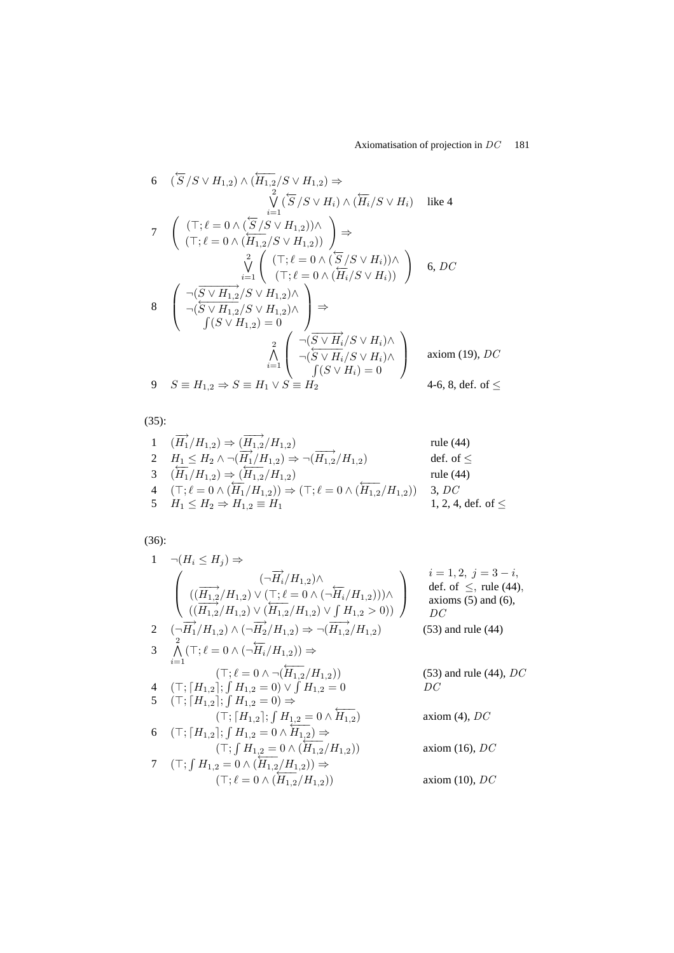6 ( ←−S /S <sup>∨</sup> <sup>H</sup>1,2) <sup>∧</sup> ( ←−− H1,2/S ∨ H1,2) ⇒ W 2 i=1 ( ←−S /S <sup>∨</sup> <sup>H</sup>i) <sup>∧</sup> ( ←− Hi/S ∨ Hi) like 4 7 (⊤; ℓ = 0 ∧ ( ←−S /S <sup>∨</sup> <sup>H</sup>1,2))<sup>∧</sup> (⊤; ℓ = 0 ∧ ( ←−− <sup>H</sup>1,2/S <sup>∨</sup> <sup>H</sup>1,2)) ! ⇒ W 2 i=1 (⊤; ℓ = 0 ∧ ( ←−S /S <sup>∨</sup> <sup>H</sup>i))<sup>∧</sup> (⊤; ℓ = 0 ∧ ( ←− <sup>H</sup>i/S <sup>∨</sup> <sup>H</sup>i)) ! 6, DC 8 ¬( −−−−−→ <sup>S</sup> <sup>∨</sup> <sup>H</sup>1,2/S <sup>∨</sup> <sup>H</sup>1,2)<sup>∧</sup> ¬( ←−−−−− <sup>S</sup> <sup>∨</sup> <sup>H</sup>1,2/S <sup>∨</sup> <sup>H</sup>1,2)<sup>∧</sup> R (S ∨ H1,2) = 0 ⇒ V 2 i=1 ¬( −−−−→ <sup>S</sup> <sup>∨</sup> <sup>H</sup>i/S <sup>∨</sup> <sup>H</sup>i)<sup>∧</sup> ¬( ←−−−− <sup>S</sup> <sup>∨</sup> <sup>H</sup>i/S <sup>∨</sup> <sup>H</sup>i)<sup>∧</sup> R (S ∨ Hi) = 0 axiom (19), DC 9 S ≡ H<sup>1</sup>,<sup>2</sup> ⇒ S ≡ H<sup>1</sup> ∨ S ≡ H<sup>2</sup> 4-6, 8, def. of ≤

(35):

1 
$$
(\overrightarrow{H_1}/H_{1,2}) \Rightarrow (\overrightarrow{H_{1,2}}/H_{1,2})
$$
 rule (44)  
\n2  $H_1 \le H_2 \land \neg(\overrightarrow{H_1}/H_{1,2}) \Rightarrow \neg(\overrightarrow{H_{1,2}}/H_{1,2})$  det. of  $\le$   
\n3  $(\overleftarrow{H_1}/H_{1,2}) \Rightarrow (\overleftarrow{H_{1,2}}/H_{1,2})$  rule (44)  
\n4  $(T; \ell = 0 \land (\overleftarrow{H_1}/H_{1,2})) \Rightarrow (T; \ell = 0 \land (\overleftarrow{H_{1,2}}/H_{1,2}))$  3, *DC*  
\n5  $H_1 \le H_2 \Rightarrow H_{1,2} \equiv H_1$  1, 2, 4, def. of  $\le$ 

(36):

1 
$$
\neg(H_i \le H_j) \Rightarrow
$$
  
\n
$$
\left( \frac{(\overrightarrow{H_1,2}/H_{1,2}) \vee (\overrightarrow{T_1,\ell} = 0 \wedge (\overrightarrow{H_i}/H_{1,2}))) \wedge}{(\overrightarrow{H_1,2}/H_{1,2}) \vee (\overrightarrow{H_1,2}/H_{1,2}) \vee (\overrightarrow{H_1,2}/H_{1,2}) \vee (\overrightarrow{H_1,2}/H_{1,2}) \vee (\overrightarrow{H_1,2}/H_{1,2}) \vee (\overrightarrow{H_1,2}/H_{1,2}) \vee (\overrightarrow{H_1,2}/H_{1,2}) \right)
$$
\n2  $(\neg H_1/H_{1,2}) \wedge (\neg H_2/H_{1,2}) \Rightarrow \neg(H_{1,2}/H_{1,2})$  (53) and rule (44)  
\n3  $\bigwedge_{i=1}^{2} (\top; \ell = 0 \wedge (\neg H_i/H_{1,2})) \Rightarrow$   
\n $(\top; \ell = 0 \wedge \neg(\overleftarrow{H_1,2}/H_{1,2}))$  (53) and rule (44), DC  
\n4  $(\top; [H_{1,2}]; \int H_{1,2} = 0) \vee \int H_{1,2} = 0$  DC  
\n5  $(\top; [H_{1,2}]; \int H_{1,2} = 0) \Rightarrow$   
\n $(\top; [H_{1,2}]; \int H_{1,2} = 0 \wedge \overleftarrow{H_{1,2}}) \Rightarrow$   
\n $(\top; [H_{1,2}]; \int H_{1,2} = 0 \wedge \overleftarrow{H_{1,2}}) \Rightarrow$   
\n $(\top; [H_{1,2}]; \int H_{1,2} = 0 \wedge (\overleftarrow{H_{1,2}}/H_{1,2}) \right)$  axiom (16), DC  
\n7  $(\top; \int H_{1,2} = 0 \wedge (\overleftarrow{H_{1,2}}/H_{1,2}) \Rightarrow$   
\n $(\top; \ell = 0 \wedge (\overleftarrow{H_{1,2}}/H_{1,2}) \Rightarrow$  axiom (10), DC